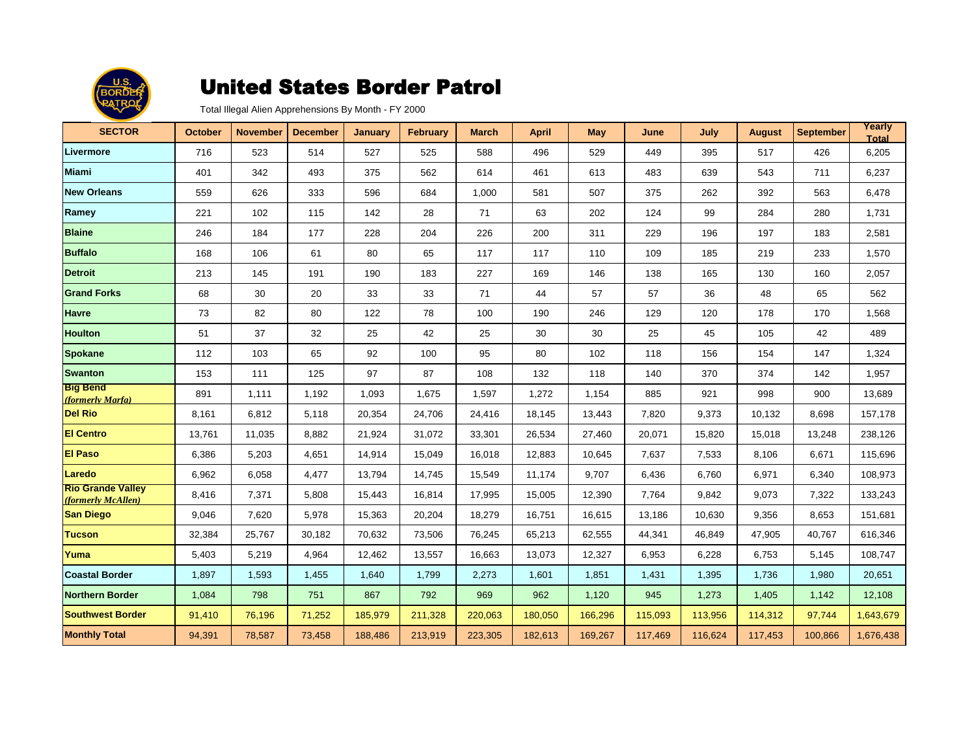

| <b>SECTOR</b>                                  | <b>October</b> | <b>November</b> | <b>December</b> | <b>January</b> | <b>February</b> | <b>March</b> | April   | <b>May</b> | June    | July    | <b>August</b> | <b>September</b> | Yearly<br><b>Total</b> |
|------------------------------------------------|----------------|-----------------|-----------------|----------------|-----------------|--------------|---------|------------|---------|---------|---------------|------------------|------------------------|
| Livermore                                      | 716            | 523             | 514             | 527            | 525             | 588          | 496     | 529        | 449     | 395     | 517           | 426              | 6,205                  |
| <b>Miami</b>                                   | 401            | 342             | 493             | 375            | 562             | 614          | 461     | 613        | 483     | 639     | 543           | 711              | 6,237                  |
| <b>New Orleans</b>                             | 559            | 626             | 333             | 596            | 684             | 1,000        | 581     | 507        | 375     | 262     | 392           | 563              | 6,478                  |
| Ramey                                          | 221            | 102             | 115             | 142            | 28              | 71           | 63      | 202        | 124     | 99      | 284           | 280              | 1,731                  |
| <b>Blaine</b>                                  | 246            | 184             | 177             | 228            | 204             | 226          | 200     | 311        | 229     | 196     | 197           | 183              | 2,581                  |
| <b>Buffalo</b>                                 | 168            | 106             | 61              | 80             | 65              | 117          | 117     | 110        | 109     | 185     | 219           | 233              | 1,570                  |
| <b>Detroit</b>                                 | 213            | 145             | 191             | 190            | 183             | 227          | 169     | 146        | 138     | 165     | 130           | 160              | 2,057                  |
| <b>Grand Forks</b>                             | 68             | 30              | 20              | 33             | 33              | 71           | 44      | 57         | 57      | 36      | 48            | 65               | 562                    |
| <b>Havre</b>                                   | 73             | 82              | 80              | 122            | 78              | 100          | 190     | 246        | 129     | 120     | 178           | 170              | 1,568                  |
| <b>Houlton</b>                                 | 51             | 37              | 32              | 25             | 42              | 25           | 30      | 30         | 25      | 45      | 105           | 42               | 489                    |
| <b>Spokane</b>                                 | 112            | 103             | 65              | 92             | 100             | 95           | 80      | 102        | 118     | 156     | 154           | 147              | 1,324                  |
| <b>Swanton</b>                                 | 153            | 111             | 125             | 97             | 87              | 108          | 132     | 118        | 140     | 370     | 374           | 142              | 1,957                  |
| <b>Big Bend</b><br>(formerly Marfa)            | 891            | 1,111           | 1,192           | 1,093          | 1,675           | 1,597        | 1,272   | 1,154      | 885     | 921     | 998           | 900              | 13,689                 |
| <b>Del Rio</b>                                 | 8,161          | 6,812           | 5,118           | 20,354         | 24,706          | 24,416       | 18,145  | 13,443     | 7,820   | 9,373   | 10,132        | 8,698            | 157,178                |
| <b>El Centro</b>                               | 13,761         | 11,035          | 8,882           | 21,924         | 31,072          | 33,301       | 26,534  | 27,460     | 20,071  | 15,820  | 15,018        | 13,248           | 238,126                |
| <b>El Paso</b>                                 | 6,386          | 5,203           | 4,651           | 14,914         | 15,049          | 16,018       | 12,883  | 10,645     | 7,637   | 7,533   | 8,106         | 6,671            | 115,696                |
| Laredo                                         | 6,962          | 6,058           | 4,477           | 13,794         | 14,745          | 15,549       | 11,174  | 9,707      | 6,436   | 6,760   | 6,971         | 6,340            | 108,973                |
| <b>Rio Grande Valley</b><br>(formerly McAllen) | 8,416          | 7,371           | 5,808           | 15,443         | 16,814          | 17,995       | 15,005  | 12,390     | 7,764   | 9,842   | 9,073         | 7,322            | 133,243                |
| <b>San Diego</b>                               | 9,046          | 7,620           | 5,978           | 15,363         | 20,204          | 18,279       | 16,751  | 16,615     | 13,186  | 10,630  | 9,356         | 8,653            | 151,681                |
| Tucson                                         | 32,384         | 25,767          | 30,182          | 70,632         | 73,506          | 76,245       | 65,213  | 62,555     | 44,341  | 46,849  | 47,905        | 40.767           | 616,346                |
| Yuma                                           | 5,403          | 5,219           | 4,964           | 12,462         | 13,557          | 16,663       | 13,073  | 12,327     | 6,953   | 6,228   | 6,753         | 5,145            | 108,747                |
| <b>Coastal Border</b>                          | 1,897          | 1,593           | 1,455           | 1,640          | 1,799           | 2,273        | 1,601   | 1,851      | 1,431   | 1,395   | 1,736         | 1,980            | 20,651                 |
| <b>Northern Border</b>                         | 1,084          | 798             | 751             | 867            | 792             | 969          | 962     | 1,120      | 945     | 1,273   | 1,405         | 1,142            | 12,108                 |
| <b>Southwest Border</b>                        | 91,410         | 76,196          | 71,252          | 185,979        | 211,328         | 220,063      | 180,050 | 166,296    | 115,093 | 113,956 | 114,312       | 97,744           | 1,643,679              |
| <b>Monthly Total</b>                           | 94,391         | 78,587          | 73,458          | 188,486        | 213,919         | 223,305      | 182,613 | 169,267    | 117,469 | 116,624 | 117,453       | 100,866          | 1,676,438              |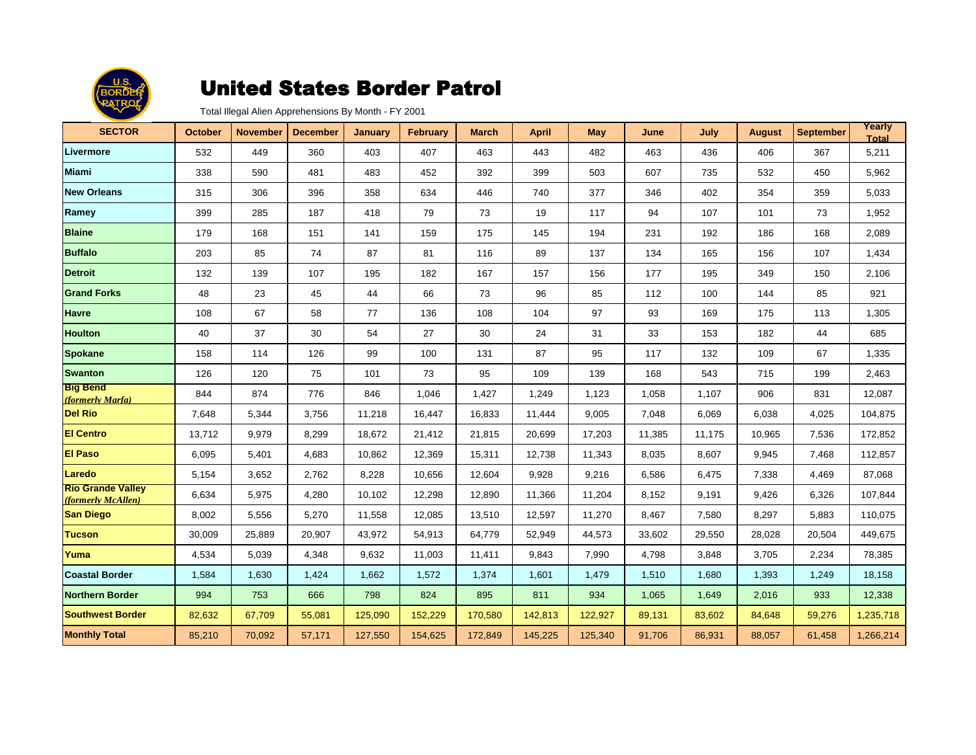

| <b>SECTOR</b>                                  | <b>October</b> | <b>November</b> | <b>December</b> | <b>January</b> | <b>February</b> | <b>March</b> | <b>April</b> | <b>May</b> | June   | July   | <b>August</b> | <b>September</b> | Yearly<br><b>Total</b> |
|------------------------------------------------|----------------|-----------------|-----------------|----------------|-----------------|--------------|--------------|------------|--------|--------|---------------|------------------|------------------------|
| Livermore                                      | 532            | 449             | 360             | 403            | 407             | 463          | 443          | 482        | 463    | 436    | 406           | 367              | 5,211                  |
| <b>Miami</b>                                   | 338            | 590             | 481             | 483            | 452             | 392          | 399          | 503        | 607    | 735    | 532           | 450              | 5,962                  |
| <b>New Orleans</b>                             | 315            | 306             | 396             | 358            | 634             | 446          | 740          | 377        | 346    | 402    | 354           | 359              | 5,033                  |
| Ramey                                          | 399            | 285             | 187             | 418            | 79              | 73           | 19           | 117        | 94     | 107    | 101           | 73               | 1,952                  |
| <b>Blaine</b>                                  | 179            | 168             | 151             | 141            | 159             | 175          | 145          | 194        | 231    | 192    | 186           | 168              | 2,089                  |
| <b>Buffalo</b>                                 | 203            | 85              | 74              | 87             | 81              | 116          | 89           | 137        | 134    | 165    | 156           | 107              | 1,434                  |
| <b>Detroit</b>                                 | 132            | 139             | 107             | 195            | 182             | 167          | 157          | 156        | 177    | 195    | 349           | 150              | 2,106                  |
| <b>Grand Forks</b>                             | 48             | 23              | 45              | 44             | 66              | 73           | 96           | 85         | 112    | 100    | 144           | 85               | 921                    |
| <b>Havre</b>                                   | 108            | 67              | 58              | 77             | 136             | 108          | 104          | 97         | 93     | 169    | 175           | 113              | 1,305                  |
| <b>Houlton</b>                                 | 40             | 37              | 30              | 54             | 27              | 30           | 24           | 31         | 33     | 153    | 182           | 44               | 685                    |
| <b>Spokane</b>                                 | 158            | 114             | 126             | 99             | 100             | 131          | 87           | 95         | 117    | 132    | 109           | 67               | 1,335                  |
| <b>Swanton</b>                                 | 126            | 120             | 75              | 101            | 73              | 95           | 109          | 139        | 168    | 543    | 715           | 199              | 2,463                  |
| <b>Big Bend</b><br>(formerly Marfa)            | 844            | 874             | 776             | 846            | 1,046           | 1,427        | 1,249        | 1,123      | 1,058  | 1,107  | 906           | 831              | 12,087                 |
| <b>Del Rio</b>                                 | 7,648          | 5,344           | 3,756           | 11,218         | 16,447          | 16,833       | 11,444       | 9,005      | 7,048  | 6,069  | 6,038         | 4,025            | 104,875                |
| <b>El Centro</b>                               | 13,712         | 9,979           | 8,299           | 18,672         | 21,412          | 21,815       | 20,699       | 17,203     | 11,385 | 11,175 | 10,965        | 7,536            | 172,852                |
| <b>El Paso</b>                                 | 6,095          | 5,401           | 4,683           | 10,862         | 12,369          | 15,311       | 12,738       | 11,343     | 8,035  | 8,607  | 9,945         | 7,468            | 112,857                |
| Laredo                                         | 5,154          | 3,652           | 2,762           | 8,228          | 10,656          | 12,604       | 9,928        | 9,216      | 6,586  | 6,475  | 7,338         | 4,469            | 87,068                 |
| <b>Rio Grande Valley</b><br>(formerly McAllen) | 6,634          | 5,975           | 4,280           | 10,102         | 12,298          | 12,890       | 11,366       | 11,204     | 8,152  | 9,191  | 9,426         | 6,326            | 107,844                |
| <b>San Diego</b>                               | 8,002          | 5,556           | 5,270           | 11,558         | 12,085          | 13,510       | 12,597       | 11,270     | 8,467  | 7,580  | 8,297         | 5,883            | 110,075                |
| <b>Tucson</b>                                  | 30,009         | 25,889          | 20,907          | 43,972         | 54,913          | 64,779       | 52,949       | 44,573     | 33,602 | 29,550 | 28,028        | 20,504           | 449,675                |
| Yuma                                           | 4,534          | 5,039           | 4,348           | 9,632          | 11,003          | 11,411       | 9,843        | 7,990      | 4,798  | 3,848  | 3,705         | 2,234            | 78,385                 |
| <b>Coastal Border</b>                          | 1,584          | 1,630           | 1,424           | 1,662          | 1,572           | 1,374        | 1,601        | 1,479      | 1,510  | 1,680  | 1,393         | 1,249            | 18,158                 |
| Northern Border                                | 994            | 753             | 666             | 798            | 824             | 895          | 811          | 934        | 1,065  | 1,649  | 2,016         | 933              | 12,338                 |
| <b>Southwest Border</b>                        | 82,632         | 67,709          | 55,081          | 125,090        | 152,229         | 170,580      | 142,813      | 122,927    | 89,131 | 83,602 | 84,648        | 59,276           | 1,235,718              |
| <b>Monthly Total</b>                           | 85,210         | 70,092          | 57,171          | 127,550        | 154,625         | 172,849      | 145,225      | 125,340    | 91,706 | 86,931 | 88,057        | 61,458           | 1,266,214              |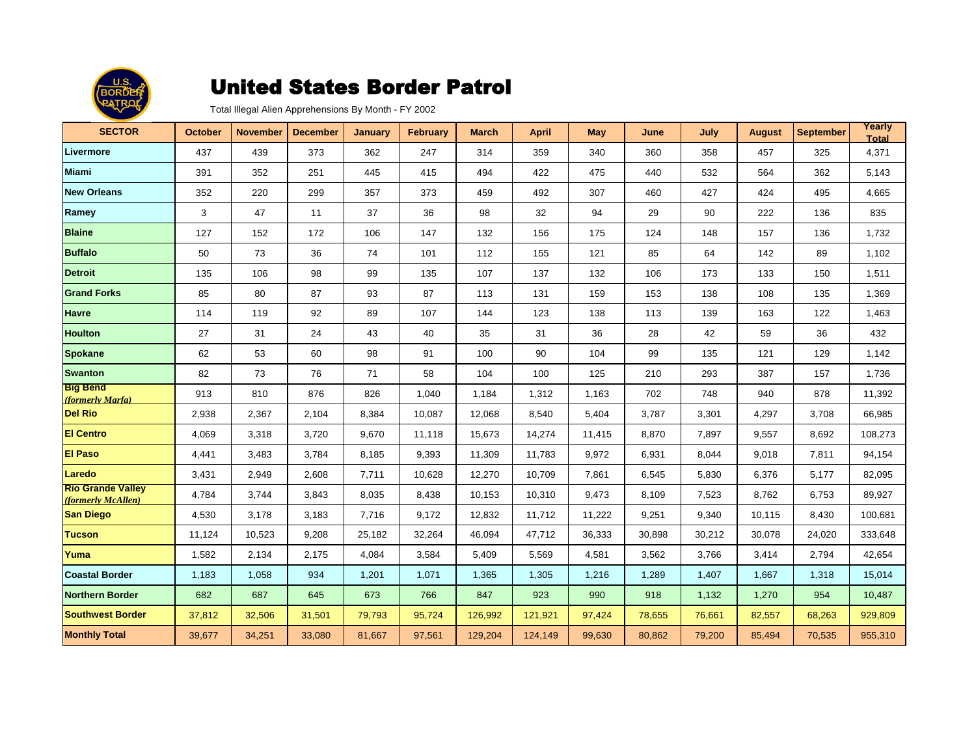

| <b>SECTOR</b>                                  | <b>October</b> | <b>November</b> | <b>December</b> | <b>January</b> | <b>February</b> | <b>March</b> | <b>April</b> | <b>May</b> | June   | July   | <b>August</b> | <b>September</b> | Yearly<br><b>Total</b> |
|------------------------------------------------|----------------|-----------------|-----------------|----------------|-----------------|--------------|--------------|------------|--------|--------|---------------|------------------|------------------------|
| Livermore                                      | 437            | 439             | 373             | 362            | 247             | 314          | 359          | 340        | 360    | 358    | 457           | 325              | 4,371                  |
| <b>Miami</b>                                   | 391            | 352             | 251             | 445            | 415             | 494          | 422          | 475        | 440    | 532    | 564           | 362              | 5,143                  |
| <b>New Orleans</b>                             | 352            | 220             | 299             | 357            | 373             | 459          | 492          | 307        | 460    | 427    | 424           | 495              | 4,665                  |
| Ramey                                          | 3              | 47              | 11              | 37             | 36              | 98           | 32           | 94         | 29     | 90     | 222           | 136              | 835                    |
| <b>Blaine</b>                                  | 127            | 152             | 172             | 106            | 147             | 132          | 156          | 175        | 124    | 148    | 157           | 136              | 1,732                  |
| <b>Buffalo</b>                                 | 50             | 73              | 36              | 74             | 101             | 112          | 155          | 121        | 85     | 64     | 142           | 89               | 1,102                  |
| <b>Detroit</b>                                 | 135            | 106             | 98              | 99             | 135             | 107          | 137          | 132        | 106    | 173    | 133           | 150              | 1,511                  |
| <b>Grand Forks</b>                             | 85             | 80              | 87              | 93             | 87              | 113          | 131          | 159        | 153    | 138    | 108           | 135              | 1,369                  |
| <b>Havre</b>                                   | 114            | 119             | 92              | 89             | 107             | 144          | 123          | 138        | 113    | 139    | 163           | 122              | 1,463                  |
| <b>Houlton</b>                                 | 27             | 31              | 24              | 43             | 40              | 35           | 31           | 36         | 28     | 42     | 59            | 36               | 432                    |
| <b>Spokane</b>                                 | 62             | 53              | 60              | 98             | 91              | 100          | 90           | 104        | 99     | 135    | 121           | 129              | 1,142                  |
| <b>Swanton</b>                                 | 82             | 73              | 76              | 71             | 58              | 104          | 100          | 125        | 210    | 293    | 387           | 157              | 1,736                  |
| <b>Big Bend</b><br>(formerly Marfa)            | 913            | 810             | 876             | 826            | 1,040           | 1,184        | 1,312        | 1,163      | 702    | 748    | 940           | 878              | 11,392                 |
| <b>Del Rio</b>                                 | 2,938          | 2,367           | 2,104           | 8,384          | 10,087          | 12,068       | 8,540        | 5,404      | 3,787  | 3,301  | 4,297         | 3,708            | 66,985                 |
| <b>El Centro</b>                               | 4,069          | 3,318           | 3,720           | 9,670          | 11,118          | 15,673       | 14,274       | 11,415     | 8,870  | 7,897  | 9,557         | 8,692            | 108,273                |
| <b>El Paso</b>                                 | 4,441          | 3,483           | 3,784           | 8,185          | 9,393           | 11,309       | 11,783       | 9,972      | 6,931  | 8,044  | 9,018         | 7,811            | 94,154                 |
| Laredo                                         | 3,431          | 2,949           | 2,608           | 7,711          | 10,628          | 12,270       | 10,709       | 7,861      | 6,545  | 5,830  | 6,376         | 5,177            | 82,095                 |
| <b>Rio Grande Valley</b><br>(formerly McAllen) | 4,784          | 3,744           | 3,843           | 8,035          | 8,438           | 10,153       | 10,310       | 9,473      | 8,109  | 7,523  | 8,762         | 6,753            | 89,927                 |
| <b>San Diego</b>                               | 4,530          | 3,178           | 3,183           | 7,716          | 9,172           | 12,832       | 11,712       | 11,222     | 9,251  | 9,340  | 10,115        | 8,430            | 100,681                |
| <b>Tucson</b>                                  | 11,124         | 10,523          | 9,208           | 25,182         | 32,264          | 46,094       | 47,712       | 36,333     | 30,898 | 30,212 | 30,078        | 24,020           | 333,648                |
| Yuma                                           | 1,582          | 2,134           | 2,175           | 4,084          | 3,584           | 5,409        | 5,569        | 4,581      | 3,562  | 3,766  | 3,414         | 2,794            | 42,654                 |
| <b>Coastal Border</b>                          | 1,183          | 1,058           | 934             | 1,201          | 1,071           | 1,365        | 1,305        | 1,216      | 1,289  | 1,407  | 1,667         | 1,318            | 15,014                 |
| <b>Northern Border</b>                         | 682            | 687             | 645             | 673            | 766             | 847          | 923          | 990        | 918    | 1,132  | 1,270         | 954              | 10,487                 |
| <b>Southwest Border</b>                        | 37,812         | 32,506          | 31,501          | 79,793         | 95,724          | 126,992      | 121,921      | 97,424     | 78,655 | 76,661 | 82,557        | 68,263           | 929,809                |
| <b>Monthly Total</b>                           | 39,677         | 34,251          | 33,080          | 81,667         | 97,561          | 129,204      | 124,149      | 99,630     | 80,862 | 79,200 | 85,494        | 70,535           | 955,310                |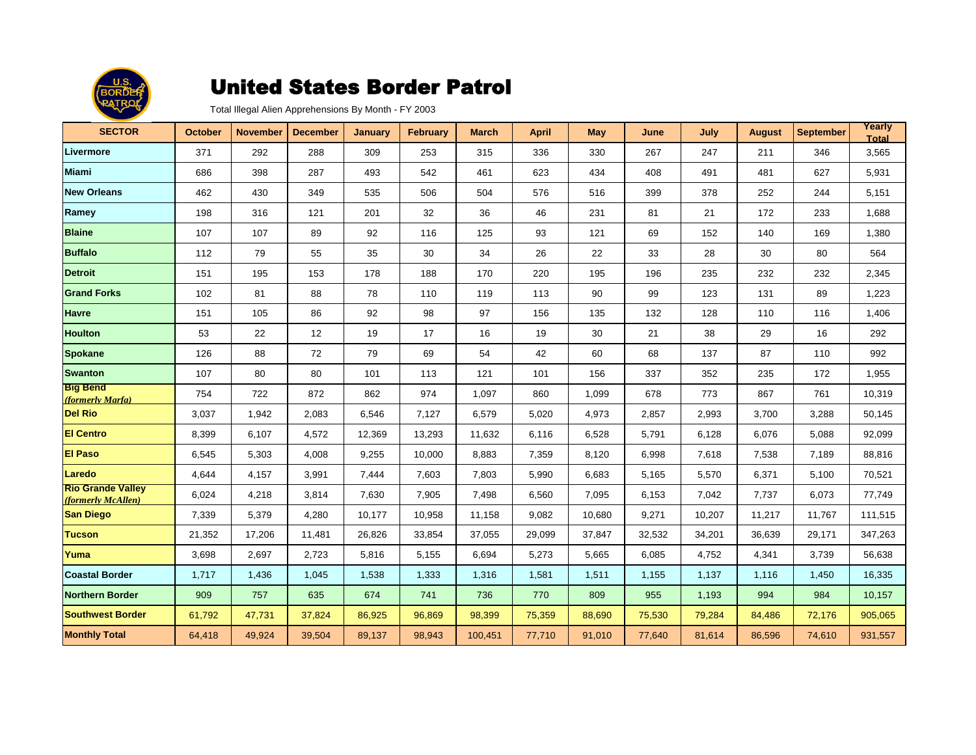

| <b>SECTOR</b>                                  | <b>October</b> | <b>November</b> | <b>December</b> | <b>January</b> | <b>February</b> | <b>March</b> | <b>April</b> | <b>May</b> | June   | July   | <b>August</b> | <b>September</b> | Yearly<br><b>Total</b> |
|------------------------------------------------|----------------|-----------------|-----------------|----------------|-----------------|--------------|--------------|------------|--------|--------|---------------|------------------|------------------------|
| Livermore                                      | 371            | 292             | 288             | 309            | 253             | 315          | 336          | 330        | 267    | 247    | 211           | 346              | 3,565                  |
| <b>Miami</b>                                   | 686            | 398             | 287             | 493            | 542             | 461          | 623          | 434        | 408    | 491    | 481           | 627              | 5,931                  |
| <b>New Orleans</b>                             | 462            | 430             | 349             | 535            | 506             | 504          | 576          | 516        | 399    | 378    | 252           | 244              | 5,151                  |
| Ramey                                          | 198            | 316             | 121             | 201            | 32              | 36           | 46           | 231        | 81     | 21     | 172           | 233              | 1,688                  |
| <b>Blaine</b>                                  | 107            | 107             | 89              | 92             | 116             | 125          | 93           | 121        | 69     | 152    | 140           | 169              | 1,380                  |
| <b>Buffalo</b>                                 | 112            | 79              | 55              | 35             | 30              | 34           | 26           | 22         | 33     | 28     | 30            | 80               | 564                    |
| <b>Detroit</b>                                 | 151            | 195             | 153             | 178            | 188             | 170          | 220          | 195        | 196    | 235    | 232           | 232              | 2,345                  |
| <b>Grand Forks</b>                             | 102            | 81              | 88              | 78             | 110             | 119          | 113          | 90         | 99     | 123    | 131           | 89               | 1,223                  |
| <b>Havre</b>                                   | 151            | 105             | 86              | 92             | 98              | 97           | 156          | 135        | 132    | 128    | 110           | 116              | 1,406                  |
| <b>Houlton</b>                                 | 53             | 22              | 12              | 19             | 17              | 16           | 19           | 30         | 21     | 38     | 29            | 16               | 292                    |
| <b>Spokane</b>                                 | 126            | 88              | 72              | 79             | 69              | 54           | 42           | 60         | 68     | 137    | 87            | 110              | 992                    |
| <b>Swanton</b>                                 | 107            | 80              | 80              | 101            | 113             | 121          | 101          | 156        | 337    | 352    | 235           | 172              | 1,955                  |
| <b>Big Bend</b><br>(formerly Marfa)            | 754            | 722             | 872             | 862            | 974             | 1,097        | 860          | 1,099      | 678    | 773    | 867           | 761              | 10,319                 |
| <b>Del Rio</b>                                 | 3,037          | 1.942           | 2,083           | 6,546          | 7,127           | 6,579        | 5,020        | 4,973      | 2,857  | 2,993  | 3,700         | 3,288            | 50,145                 |
| <b>El Centro</b>                               | 8,399          | 6,107           | 4,572           | 12,369         | 13,293          | 11,632       | 6,116        | 6,528      | 5,791  | 6,128  | 6,076         | 5,088            | 92,099                 |
| <b>El Paso</b>                                 | 6,545          | 5,303           | 4,008           | 9,255          | 10,000          | 8,883        | 7,359        | 8,120      | 6,998  | 7,618  | 7,538         | 7,189            | 88,816                 |
| Laredo                                         | 4,644          | 4,157           | 3,991           | 7,444          | 7,603           | 7,803        | 5,990        | 6,683      | 5,165  | 5,570  | 6,371         | 5,100            | 70,521                 |
| <b>Rio Grande Valley</b><br>(formerly McAllen) | 6,024          | 4,218           | 3,814           | 7,630          | 7,905           | 7,498        | 6,560        | 7,095      | 6,153  | 7,042  | 7,737         | 6,073            | 77,749                 |
| <b>San Diego</b>                               | 7,339          | 5,379           | 4,280           | 10,177         | 10,958          | 11,158       | 9,082        | 10,680     | 9,271  | 10,207 | 11,217        | 11,767           | 111,515                |
| <b>Tucson</b>                                  | 21,352         | 17,206          | 11,481          | 26,826         | 33,854          | 37,055       | 29,099       | 37,847     | 32,532 | 34,201 | 36,639        | 29,171           | 347,263                |
| Yuma                                           | 3,698          | 2,697           | 2,723           | 5,816          | 5,155           | 6,694        | 5,273        | 5,665      | 6,085  | 4,752  | 4,341         | 3,739            | 56,638                 |
| <b>Coastal Border</b>                          | 1,717          | 1,436           | 1,045           | 1,538          | 1,333           | 1,316        | 1,581        | 1,511      | 1,155  | 1,137  | 1,116         | 1,450            | 16,335                 |
| <b>Northern Border</b>                         | 909            | 757             | 635             | 674            | 741             | 736          | 770          | 809        | 955    | 1,193  | 994           | 984              | 10,157                 |
| <b>Southwest Border</b>                        | 61,792         | 47,731          | 37,824          | 86,925         | 96,869          | 98,399       | 75,359       | 88,690     | 75,530 | 79,284 | 84,486        | 72,176           | 905,065                |
| <b>Monthly Total</b>                           | 64,418         | 49,924          | 39,504          | 89,137         | 98,943          | 100,451      | 77,710       | 91,010     | 77,640 | 81,614 | 86,596        | 74,610           | 931,557                |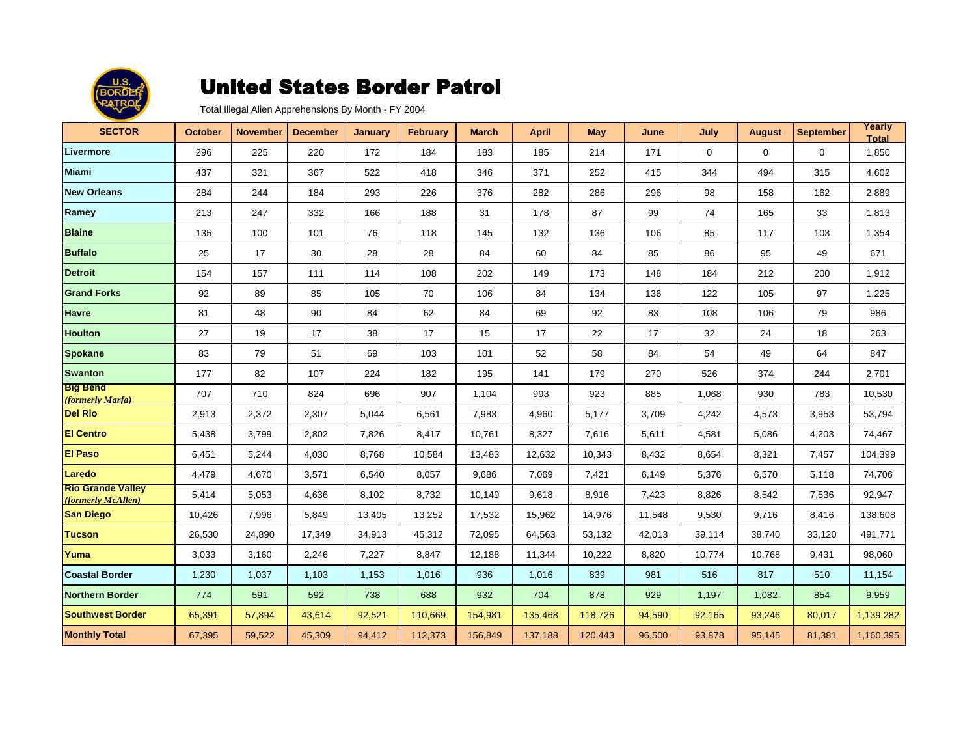

| <b>SECTOR</b>                                  | <b>October</b> | <b>November</b> | <b>December</b> | <b>January</b> | <b>February</b> | <b>March</b> | April   | <b>May</b> | June   | July        | <b>August</b> | <b>September</b> | Yearly<br><b>Total</b> |
|------------------------------------------------|----------------|-----------------|-----------------|----------------|-----------------|--------------|---------|------------|--------|-------------|---------------|------------------|------------------------|
| Livermore                                      | 296            | 225             | 220             | 172            | 184             | 183          | 185     | 214        | 171    | $\mathbf 0$ | 0             | $\mathbf 0$      | 1,850                  |
| <b>Miami</b>                                   | 437            | 321             | 367             | 522            | 418             | 346          | 371     | 252        | 415    | 344         | 494           | 315              | 4,602                  |
| <b>New Orleans</b>                             | 284            | 244             | 184             | 293            | 226             | 376          | 282     | 286        | 296    | 98          | 158           | 162              | 2,889                  |
| Ramey                                          | 213            | 247             | 332             | 166            | 188             | 31           | 178     | 87         | 99     | 74          | 165           | 33               | 1,813                  |
| <b>Blaine</b>                                  | 135            | 100             | 101             | 76             | 118             | 145          | 132     | 136        | 106    | 85          | 117           | 103              | 1,354                  |
| <b>Buffalo</b>                                 | 25             | 17              | 30              | 28             | 28              | 84           | 60      | 84         | 85     | 86          | 95            | 49               | 671                    |
| <b>Detroit</b>                                 | 154            | 157             | 111             | 114            | 108             | 202          | 149     | 173        | 148    | 184         | 212           | 200              | 1,912                  |
| <b>Grand Forks</b>                             | 92             | 89              | 85              | 105            | 70              | 106          | 84      | 134        | 136    | 122         | 105           | 97               | 1,225                  |
| <b>Havre</b>                                   | 81             | 48              | 90              | 84             | 62              | 84           | 69      | 92         | 83     | 108         | 106           | 79               | 986                    |
| <b>Houlton</b>                                 | 27             | 19              | 17              | 38             | 17              | 15           | 17      | 22         | 17     | 32          | 24            | 18               | 263                    |
| <b>Spokane</b>                                 | 83             | 79              | 51              | 69             | 103             | 101          | 52      | 58         | 84     | 54          | 49            | 64               | 847                    |
| <b>Swanton</b>                                 | 177            | 82              | 107             | 224            | 182             | 195          | 141     | 179        | 270    | 526         | 374           | 244              | 2,701                  |
| <b>Big Bend</b><br>(formerly Marfa)            | 707            | 710             | 824             | 696            | 907             | 1,104        | 993     | 923        | 885    | 1,068       | 930           | 783              | 10,530                 |
| <b>Del Rio</b>                                 | 2,913          | 2,372           | 2,307           | 5,044          | 6,561           | 7,983        | 4,960   | 5,177      | 3,709  | 4,242       | 4,573         | 3,953            | 53,794                 |
| <b>El Centro</b>                               | 5,438          | 3,799           | 2,802           | 7,826          | 8,417           | 10,761       | 8,327   | 7,616      | 5,611  | 4,581       | 5,086         | 4,203            | 74,467                 |
| <b>El Paso</b>                                 | 6,451          | 5,244           | 4,030           | 8,768          | 10,584          | 13,483       | 12,632  | 10,343     | 8,432  | 8,654       | 8,321         | 7,457            | 104,399                |
| Laredo                                         | 4,479          | 4,670           | 3,571           | 6,540          | 8,057           | 9,686        | 7,069   | 7,421      | 6,149  | 5,376       | 6,570         | 5,118            | 74,706                 |
| <b>Rio Grande Valley</b><br>(formerly McAllen) | 5,414          | 5,053           | 4,636           | 8,102          | 8,732           | 10,149       | 9,618   | 8,916      | 7,423  | 8,826       | 8,542         | 7,536            | 92,947                 |
| <b>San Diego</b>                               | 10,426         | 7,996           | 5,849           | 13,405         | 13,252          | 17,532       | 15,962  | 14,976     | 11,548 | 9,530       | 9,716         | 8,416            | 138,608                |
| Tucson                                         | 26,530         | 24,890          | 17,349          | 34,913         | 45,312          | 72,095       | 64,563  | 53,132     | 42,013 | 39,114      | 38.740        | 33,120           | 491,771                |
| Yuma                                           | 3,033          | 3,160           | 2,246           | 7,227          | 8,847           | 12,188       | 11,344  | 10,222     | 8,820  | 10,774      | 10,768        | 9,431            | 98,060                 |
| <b>Coastal Border</b>                          | 1,230          | 1,037           | 1,103           | 1,153          | 1,016           | 936          | 1,016   | 839        | 981    | 516         | 817           | 510              | 11,154                 |
| <b>Northern Border</b>                         | 774            | 591             | 592             | 738            | 688             | 932          | 704     | 878        | 929    | 1,197       | 1,082         | 854              | 9,959                  |
| <b>Southwest Border</b>                        | 65,391         | 57,894          | 43,614          | 92,521         | 110,669         | 154,981      | 135,468 | 118,726    | 94,590 | 92,165      | 93,246        | 80,017           | 1,139,282              |
| <b>Monthly Total</b>                           | 67,395         | 59,522          | 45,309          | 94,412         | 112,373         | 156,849      | 137,188 | 120,443    | 96,500 | 93,878      | 95,145        | 81,381           | 1,160,395              |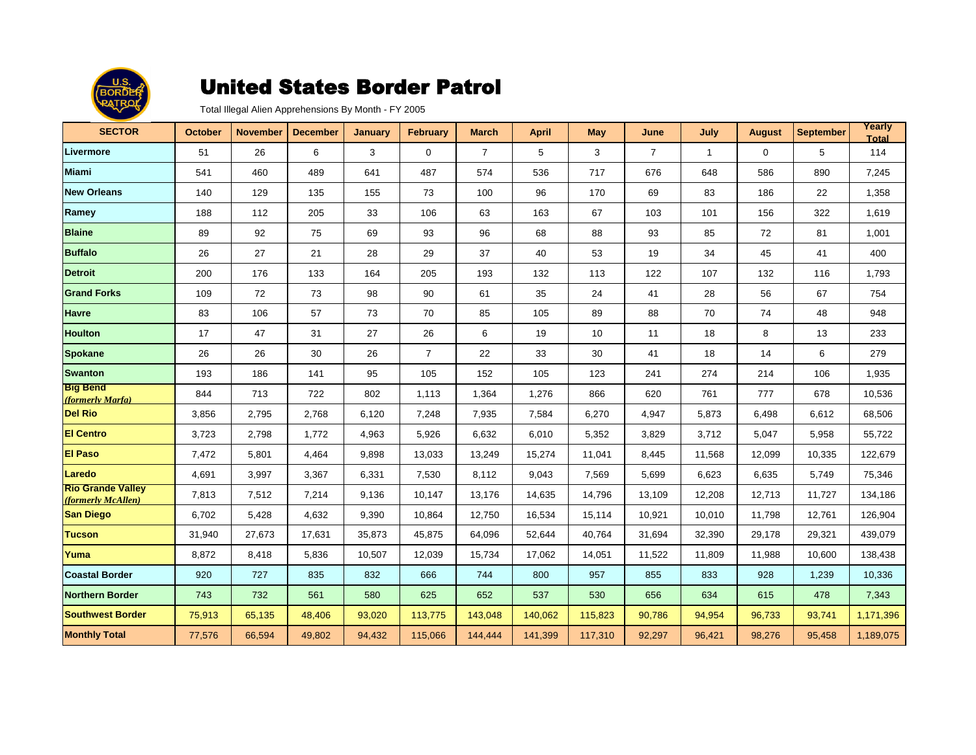

| <b>SECTOR</b>                                  | <b>October</b> | <b>November</b> | <b>December</b> | <b>January</b> | <b>February</b> | <b>March</b>   | <b>April</b> | <b>May</b> | June           | July         | <b>August</b> | <b>September</b> | Yearly<br><b>Total</b> |
|------------------------------------------------|----------------|-----------------|-----------------|----------------|-----------------|----------------|--------------|------------|----------------|--------------|---------------|------------------|------------------------|
| Livermore                                      | 51             | 26              | 6               | 3              | $\mathbf 0$     | $\overline{7}$ | 5            | 3          | $\overline{7}$ | $\mathbf{1}$ | $\mathbf 0$   | 5                | 114                    |
| <b>Miami</b>                                   | 541            | 460             | 489             | 641            | 487             | 574            | 536          | 717        | 676            | 648          | 586           | 890              | 7,245                  |
| <b>New Orleans</b>                             | 140            | 129             | 135             | 155            | 73              | 100            | 96           | 170        | 69             | 83           | 186           | 22               | 1,358                  |
| Ramey                                          | 188            | 112             | 205             | 33             | 106             | 63             | 163          | 67         | 103            | 101          | 156           | 322              | 1,619                  |
| <b>Blaine</b>                                  | 89             | 92              | 75              | 69             | 93              | 96             | 68           | 88         | 93             | 85           | 72            | 81               | 1,001                  |
| <b>Buffalo</b>                                 | 26             | 27              | 21              | 28             | 29              | 37             | 40           | 53         | 19             | 34           | 45            | 41               | 400                    |
| <b>Detroit</b>                                 | 200            | 176             | 133             | 164            | 205             | 193            | 132          | 113        | 122            | 107          | 132           | 116              | 1,793                  |
| <b>Grand Forks</b>                             | 109            | 72              | 73              | 98             | 90              | 61             | 35           | 24         | 41             | 28           | 56            | 67               | 754                    |
| <b>Havre</b>                                   | 83             | 106             | 57              | 73             | 70              | 85             | 105          | 89         | 88             | 70           | 74            | 48               | 948                    |
| <b>Houlton</b>                                 | 17             | 47              | 31              | 27             | 26              | 6              | 19           | 10         | 11             | 18           | 8             | 13               | 233                    |
| <b>Spokane</b>                                 | 26             | 26              | 30              | 26             | $\overline{7}$  | 22             | 33           | 30         | 41             | 18           | 14            | 6                | 279                    |
| <b>Swanton</b>                                 | 193            | 186             | 141             | 95             | 105             | 152            | 105          | 123        | 241            | 274          | 214           | 106              | 1,935                  |
| <b>Big Bend</b><br>(formerly Marfa)            | 844            | 713             | 722             | 802            | 1,113           | 1,364          | 1,276        | 866        | 620            | 761          | 777           | 678              | 10,536                 |
| <b>Del Rio</b>                                 | 3,856          | 2,795           | 2,768           | 6,120          | 7,248           | 7,935          | 7,584        | 6,270      | 4,947          | 5,873        | 6,498         | 6,612            | 68,506                 |
| <b>El Centro</b>                               | 3,723          | 2,798           | 1,772           | 4,963          | 5,926           | 6,632          | 6,010        | 5,352      | 3,829          | 3,712        | 5,047         | 5,958            | 55,722                 |
| <b>El Paso</b>                                 | 7,472          | 5,801           | 4,464           | 9,898          | 13,033          | 13,249         | 15,274       | 11,041     | 8,445          | 11,568       | 12,099        | 10,335           | 122,679                |
| Laredo                                         | 4,691          | 3,997           | 3,367           | 6,331          | 7,530           | 8,112          | 9,043        | 7,569      | 5,699          | 6,623        | 6,635         | 5,749            | 75,346                 |
| <b>Rio Grande Valley</b><br>(formerly McAllen) | 7,813          | 7,512           | 7,214           | 9,136          | 10,147          | 13,176         | 14,635       | 14,796     | 13,109         | 12,208       | 12,713        | 11,727           | 134,186                |
| <b>San Diego</b>                               | 6,702          | 5,428           | 4,632           | 9,390          | 10,864          | 12,750         | 16,534       | 15,114     | 10,921         | 10,010       | 11,798        | 12,761           | 126,904                |
| <b>Tucson</b>                                  | 31,940         | 27,673          | 17,631          | 35,873         | 45,875          | 64,096         | 52,644       | 40,764     | 31,694         | 32,390       | 29,178        | 29,321           | 439,079                |
| Yuma                                           | 8,872          | 8,418           | 5,836           | 10,507         | 12,039          | 15,734         | 17,062       | 14,051     | 11,522         | 11,809       | 11,988        | 10,600           | 138,438                |
| <b>Coastal Border</b>                          | 920            | 727             | 835             | 832            | 666             | 744            | 800          | 957        | 855            | 833          | 928           | 1,239            | 10,336                 |
| Northern Border                                | 743            | 732             | 561             | 580            | 625             | 652            | 537          | 530        | 656            | 634          | 615           | 478              | 7,343                  |
| <b>Southwest Border</b>                        | 75,913         | 65,135          | 48,406          | 93,020         | 113,775         | 143,048        | 140,062      | 115,823    | 90,786         | 94,954       | 96,733        | 93,741           | 1,171,396              |
| <b>Monthly Total</b>                           | 77,576         | 66,594          | 49,802          | 94,432         | 115,066         | 144,444        | 141,399      | 117,310    | 92,297         | 96,421       | 98,276        | 95,458           | 1,189,075              |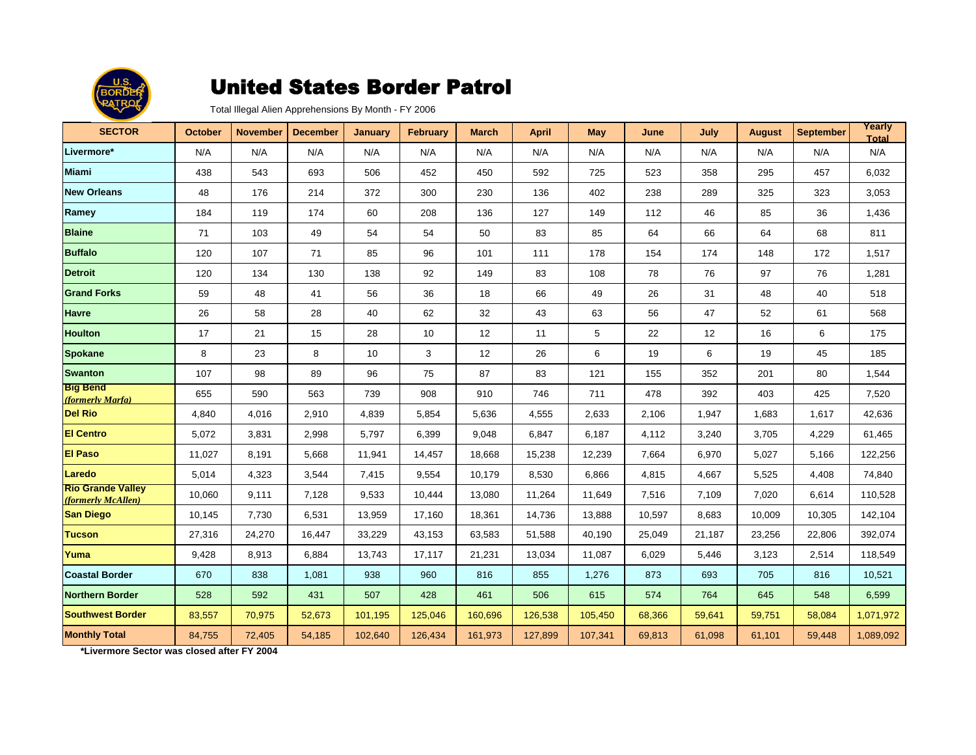

Total Illegal Alien Apprehensions By Month - FY 2006

| <b>SECTOR</b>                                  | <b>October</b> | <b>November</b> | <b>December</b> | <b>January</b> | <b>February</b> | <b>March</b> | <b>April</b> | <b>May</b> | June   | July   | <b>August</b> | <b>September</b> | Yearly<br><b>Total</b> |
|------------------------------------------------|----------------|-----------------|-----------------|----------------|-----------------|--------------|--------------|------------|--------|--------|---------------|------------------|------------------------|
| Livermore*                                     | N/A            | N/A             | N/A             | N/A            | N/A             | N/A          | N/A          | N/A        | N/A    | N/A    | N/A           | N/A              | N/A                    |
| <b>Miami</b>                                   | 438            | 543             | 693             | 506            | 452             | 450          | 592          | 725        | 523    | 358    | 295           | 457              | 6,032                  |
| <b>New Orleans</b>                             | 48             | 176             | 214             | 372            | 300             | 230          | 136          | 402        | 238    | 289    | 325           | 323              | 3,053                  |
| Ramey                                          | 184            | 119             | 174             | 60             | 208             | 136          | 127          | 149        | 112    | 46     | 85            | 36               | 1,436                  |
| <b>Blaine</b>                                  | 71             | 103             | 49              | 54             | 54              | 50           | 83           | 85         | 64     | 66     | 64            | 68               | 811                    |
| <b>Buffalo</b>                                 | 120            | 107             | 71              | 85             | 96              | 101          | 111          | 178        | 154    | 174    | 148           | 172              | 1,517                  |
| <b>Detroit</b>                                 | 120            | 134             | 130             | 138            | 92              | 149          | 83           | 108        | 78     | 76     | 97            | 76               | 1,281                  |
| <b>Grand Forks</b>                             | 59             | 48              | 41              | 56             | 36              | 18           | 66           | 49         | 26     | 31     | 48            | 40               | 518                    |
| <b>Havre</b>                                   | 26             | 58              | 28              | 40             | 62              | 32           | 43           | 63         | 56     | 47     | 52            | 61               | 568                    |
| <b>Houlton</b>                                 | 17             | 21              | 15              | 28             | 10              | 12           | 11           | 5          | 22     | 12     | 16            | 6                | 175                    |
| <b>Spokane</b>                                 | 8              | 23              | 8               | 10             | 3               | 12           | 26           | 6          | 19     | 6      | 19            | 45               | 185                    |
| <b>Swanton</b>                                 | 107            | 98              | 89              | 96             | 75              | 87           | 83           | 121        | 155    | 352    | 201           | 80               | 1,544                  |
| <b>Big Bend</b><br>(formerly Marfa)            | 655            | 590             | 563             | 739            | 908             | 910          | 746          | 711        | 478    | 392    | 403           | 425              | 7,520                  |
| <b>Del Rio</b>                                 | 4,840          | 4,016           | 2,910           | 4,839          | 5,854           | 5,636        | 4,555        | 2,633      | 2,106  | 1,947  | 1,683         | 1,617            | 42,636                 |
| <b>El Centro</b>                               | 5,072          | 3,831           | 2,998           | 5,797          | 6,399           | 9,048        | 6,847        | 6,187      | 4,112  | 3,240  | 3,705         | 4,229            | 61,465                 |
| <b>El Paso</b>                                 | 11,027         | 8,191           | 5,668           | 11,941         | 14,457          | 18,668       | 15,238       | 12,239     | 7,664  | 6,970  | 5,027         | 5,166            | 122,256                |
| Laredo                                         | 5,014          | 4,323           | 3,544           | 7,415          | 9,554           | 10,179       | 8,530        | 6,866      | 4,815  | 4,667  | 5,525         | 4,408            | 74,840                 |
| <b>Rio Grande Valley</b><br>(formerly McAllen) | 10,060         | 9,111           | 7,128           | 9,533          | 10,444          | 13,080       | 11,264       | 11,649     | 7,516  | 7,109  | 7,020         | 6,614            | 110,528                |
| <b>San Diego</b>                               | 10,145         | 7,730           | 6,531           | 13,959         | 17,160          | 18,361       | 14,736       | 13,888     | 10,597 | 8,683  | 10,009        | 10,305           | 142,104                |
| <b>Tucson</b>                                  | 27,316         | 24,270          | 16,447          | 33,229         | 43,153          | 63,583       | 51,588       | 40,190     | 25,049 | 21,187 | 23,256        | 22,806           | 392,074                |
| Yuma                                           | 9,428          | 8,913           | 6,884           | 13,743         | 17,117          | 21,231       | 13,034       | 11,087     | 6,029  | 5,446  | 3,123         | 2,514            | 118,549                |
| <b>Coastal Border</b>                          | 670            | 838             | 1,081           | 938            | 960             | 816          | 855          | 1,276      | 873    | 693    | 705           | 816              | 10,521                 |
| Northern Border                                | 528            | 592             | 431             | 507            | 428             | 461          | 506          | 615        | 574    | 764    | 645           | 548              | 6,599                  |
| <b>Southwest Border</b>                        | 83,557         | 70,975          | 52,673          | 101,195        | 125,046         | 160,696      | 126,538      | 105,450    | 68,366 | 59,641 | 59,751        | 58,084           | 1,071,972              |
| <b>Monthly Total</b>                           | 84,755         | 72,405          | 54,185          | 102,640        | 126,434         | 161,973      | 127,899      | 107,341    | 69,813 | 61,098 | 61,101        | 59,448           | 1,089,092              |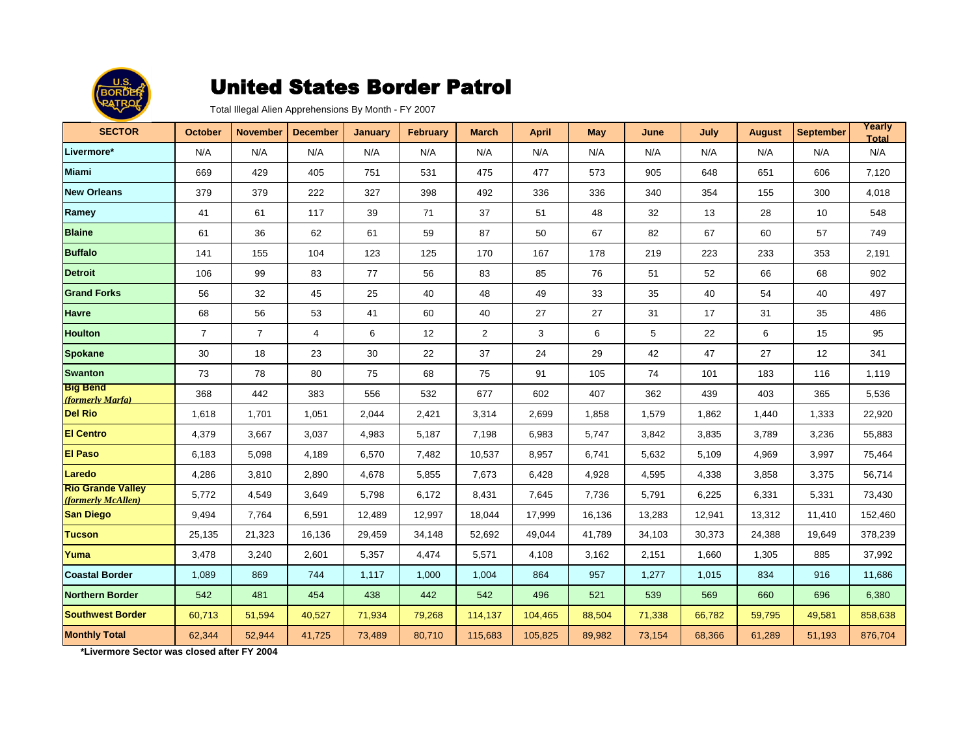

Total Illegal Alien Apprehensions By Month - FY 2007

| <b>SECTOR</b>                                  | <b>October</b> | <b>November</b> | <b>December</b> | <b>January</b> | <b>February</b> | <b>March</b>   | <b>April</b> | <b>May</b> | June   | July   | <b>August</b> | <b>September</b> | Yearly<br><b>Total</b> |
|------------------------------------------------|----------------|-----------------|-----------------|----------------|-----------------|----------------|--------------|------------|--------|--------|---------------|------------------|------------------------|
| Livermore*                                     | N/A            | N/A             | N/A             | N/A            | N/A             | N/A            | N/A          | N/A        | N/A    | N/A    | N/A           | N/A              | N/A                    |
| <b>Miami</b>                                   | 669            | 429             | 405             | 751            | 531             | 475            | 477          | 573        | 905    | 648    | 651           | 606              | 7,120                  |
| <b>New Orleans</b>                             | 379            | 379             | 222             | 327            | 398             | 492            | 336          | 336        | 340    | 354    | 155           | 300              | 4,018                  |
| Ramey                                          | 41             | 61              | 117             | 39             | 71              | 37             | 51           | 48         | 32     | 13     | 28            | 10               | 548                    |
| <b>Blaine</b>                                  | 61             | 36              | 62              | 61             | 59              | 87             | 50           | 67         | 82     | 67     | 60            | 57               | 749                    |
| <b>Buffalo</b>                                 | 141            | 155             | 104             | 123            | 125             | 170            | 167          | 178        | 219    | 223    | 233           | 353              | 2,191                  |
| <b>Detroit</b>                                 | 106            | 99              | 83              | 77             | 56              | 83             | 85           | 76         | 51     | 52     | 66            | 68               | 902                    |
| <b>Grand Forks</b>                             | 56             | 32              | 45              | 25             | 40              | 48             | 49           | 33         | 35     | 40     | 54            | 40               | 497                    |
| <b>Havre</b>                                   | 68             | 56              | 53              | 41             | 60              | 40             | 27           | 27         | 31     | 17     | 31            | 35               | 486                    |
| <b>Houlton</b>                                 | $\overline{7}$ | $\overline{7}$  | 4               | 6              | 12              | $\overline{2}$ | 3            | 6          | 5      | 22     | 6             | 15               | 95                     |
| <b>Spokane</b>                                 | 30             | 18              | 23              | 30             | 22              | 37             | 24           | 29         | 42     | 47     | 27            | 12               | 341                    |
| <b>Swanton</b>                                 | 73             | 78              | 80              | 75             | 68              | 75             | 91           | 105        | 74     | 101    | 183           | 116              | 1,119                  |
| <b>Big Bend</b><br>(formerly Marfa)            | 368            | 442             | 383             | 556            | 532             | 677            | 602          | 407        | 362    | 439    | 403           | 365              | 5,536                  |
| <b>Del Rio</b>                                 | 1,618          | 1.701           | 1,051           | 2,044          | 2,421           | 3,314          | 2,699        | 1,858      | 1,579  | 1,862  | 1,440         | 1,333            | 22,920                 |
| <b>El Centro</b>                               | 4,379          | 3,667           | 3,037           | 4,983          | 5,187           | 7,198          | 6,983        | 5,747      | 3,842  | 3,835  | 3,789         | 3,236            | 55,883                 |
| <b>El Paso</b>                                 | 6,183          | 5,098           | 4,189           | 6,570          | 7,482           | 10,537         | 8,957        | 6,741      | 5,632  | 5,109  | 4,969         | 3,997            | 75,464                 |
| Laredo                                         | 4,286          | 3,810           | 2,890           | 4,678          | 5,855           | 7,673          | 6,428        | 4,928      | 4,595  | 4,338  | 3,858         | 3,375            | 56,714                 |
| <b>Rio Grande Valley</b><br>(formerly McAllen) | 5,772          | 4,549           | 3,649           | 5,798          | 6,172           | 8,431          | 7,645        | 7,736      | 5,791  | 6,225  | 6,331         | 5,331            | 73,430                 |
| <b>San Diego</b>                               | 9,494          | 7,764           | 6,591           | 12,489         | 12,997          | 18,044         | 17,999       | 16,136     | 13,283 | 12,941 | 13,312        | 11,410           | 152,460                |
| <b>Tucson</b>                                  | 25,135         | 21,323          | 16,136          | 29,459         | 34,148          | 52,692         | 49,044       | 41.789     | 34,103 | 30,373 | 24,388        | 19,649           | 378,239                |
| Yuma                                           | 3,478          | 3,240           | 2,601           | 5,357          | 4,474           | 5,571          | 4,108        | 3,162      | 2,151  | 1,660  | 1,305         | 885              | 37,992                 |
| <b>Coastal Border</b>                          | 1,089          | 869             | 744             | 1,117          | 1,000           | 1,004          | 864          | 957        | 1,277  | 1,015  | 834           | 916              | 11,686                 |
| <b>Northern Border</b>                         | 542            | 481             | 454             | 438            | 442             | 542            | 496          | 521        | 539    | 569    | 660           | 696              | 6,380                  |
| <b>Southwest Border</b>                        | 60,713         | 51,594          | 40,527          | 71,934         | 79,268          | 114,137        | 104,465      | 88,504     | 71,338 | 66,782 | 59,795        | 49,581           | 858,638                |
| <b>Monthly Total</b>                           | 62,344         | 52,944          | 41,725          | 73,489         | 80,710          | 115,683        | 105,825      | 89,982     | 73,154 | 68,366 | 61,289        | 51,193           | 876,704                |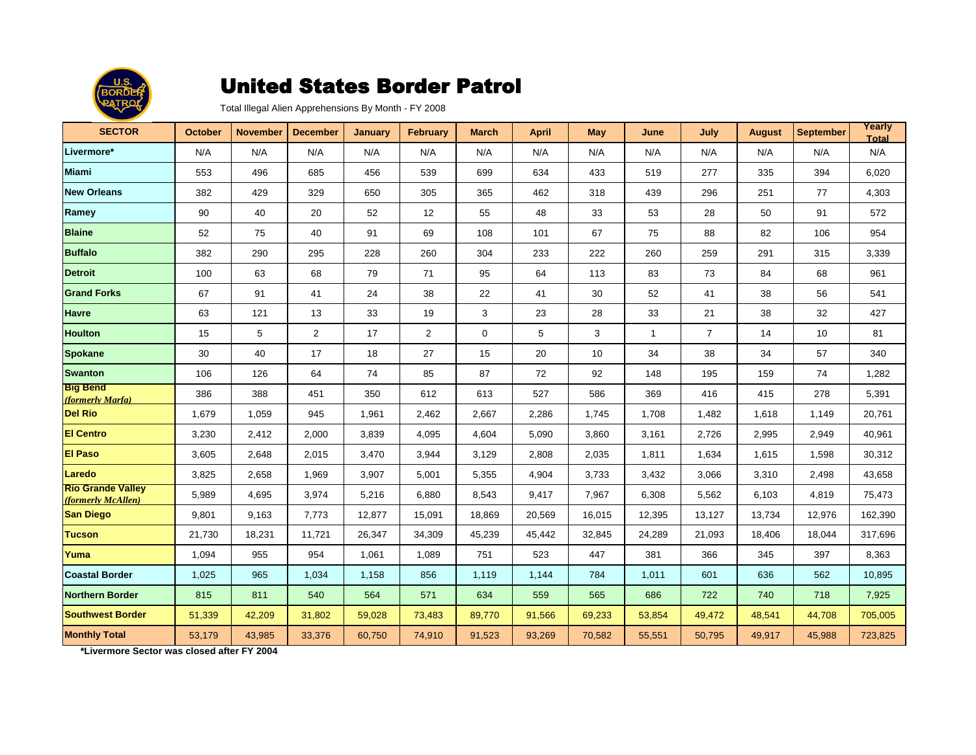

Total Illegal Alien Apprehensions By Month - FY 2008

| <b>SECTOR</b>                                  | <b>October</b> | <b>November</b> | <b>December</b> | <b>January</b> | <b>February</b> | <b>March</b> | <b>April</b> | <b>May</b> | June         | July           | <b>August</b> | <b>September</b> | Yearly<br><b>Total</b> |
|------------------------------------------------|----------------|-----------------|-----------------|----------------|-----------------|--------------|--------------|------------|--------------|----------------|---------------|------------------|------------------------|
| Livermore*                                     | N/A            | N/A             | N/A             | N/A            | N/A             | N/A          | N/A          | N/A        | N/A          | N/A            | N/A           | N/A              | N/A                    |
| <b>Miami</b>                                   | 553            | 496             | 685             | 456            | 539             | 699          | 634          | 433        | 519          | 277            | 335           | 394              | 6,020                  |
| <b>New Orleans</b>                             | 382            | 429             | 329             | 650            | 305             | 365          | 462          | 318        | 439          | 296            | 251           | 77               | 4,303                  |
| Ramey                                          | 90             | 40              | 20              | 52             | 12              | 55           | 48           | 33         | 53           | 28             | 50            | 91               | 572                    |
| <b>Blaine</b>                                  | 52             | 75              | 40              | 91             | 69              | 108          | 101          | 67         | 75           | 88             | 82            | 106              | 954                    |
| <b>Buffalo</b>                                 | 382            | 290             | 295             | 228            | 260             | 304          | 233          | 222        | 260          | 259            | 291           | 315              | 3,339                  |
| <b>Detroit</b>                                 | 100            | 63              | 68              | 79             | 71              | 95           | 64           | 113        | 83           | 73             | 84            | 68               | 961                    |
| <b>Grand Forks</b>                             | 67             | 91              | 41              | 24             | 38              | 22           | 41           | 30         | 52           | 41             | 38            | 56               | 541                    |
| <b>Havre</b>                                   | 63             | 121             | 13              | 33             | 19              | 3            | 23           | 28         | 33           | 21             | 38            | 32               | 427                    |
| <b>Houlton</b>                                 | 15             | 5               | 2               | 17             | 2               | 0            | 5            | 3          | $\mathbf{1}$ | $\overline{7}$ | 14            | 10               | 81                     |
| <b>Spokane</b>                                 | 30             | 40              | 17              | 18             | 27              | 15           | 20           | 10         | 34           | 38             | 34            | 57               | 340                    |
| <b>Swanton</b>                                 | 106            | 126             | 64              | 74             | 85              | 87           | 72           | 92         | 148          | 195            | 159           | 74               | 1,282                  |
| <b>Big Bend</b><br>(formerly Marfa)            | 386            | 388             | 451             | 350            | 612             | 613          | 527          | 586        | 369          | 416            | 415           | 278              | 5,391                  |
| <b>Del Rio</b>                                 | 1,679          | 1,059           | 945             | 1,961          | 2,462           | 2,667        | 2,286        | 1.745      | 1,708        | 1,482          | 1,618         | 1,149            | 20,761                 |
| <b>El Centro</b>                               | 3,230          | 2,412           | 2,000           | 3,839          | 4,095           | 4,604        | 5,090        | 3,860      | 3,161        | 2,726          | 2,995         | 2,949            | 40,961                 |
| <b>El Paso</b>                                 | 3,605          | 2,648           | 2,015           | 3,470          | 3,944           | 3,129        | 2,808        | 2,035      | 1,811        | 1,634          | 1,615         | 1,598            | 30,312                 |
| Laredo                                         | 3,825          | 2,658           | 1,969           | 3,907          | 5,001           | 5,355        | 4,904        | 3,733      | 3,432        | 3,066          | 3,310         | 2,498            | 43,658                 |
| <b>Rio Grande Valley</b><br>(formerly McAllen) | 5,989          | 4,695           | 3,974           | 5,216          | 6,880           | 8,543        | 9,417        | 7,967      | 6,308        | 5,562          | 6,103         | 4,819            | 75,473                 |
| <b>San Diego</b>                               | 9,801          | 9,163           | 7,773           | 12,877         | 15,091          | 18,869       | 20,569       | 16,015     | 12,395       | 13,127         | 13,734        | 12,976           | 162,390                |
| <b>Tucson</b>                                  | 21,730         | 18,231          | 11,721          | 26,347         | 34,309          | 45,239       | 45,442       | 32,845     | 24,289       | 21,093         | 18.406        | 18,044           | 317.696                |
| Yuma                                           | 1,094          | 955             | 954             | 1,061          | 1,089           | 751          | 523          | 447        | 381          | 366            | 345           | 397              | 8,363                  |
| <b>Coastal Border</b>                          | 1,025          | 965             | 1,034           | 1,158          | 856             | 1,119        | 1,144        | 784        | 1,011        | 601            | 636           | 562              | 10,895                 |
| <b>Northern Border</b>                         | 815            | 811             | 540             | 564            | 571             | 634          | 559          | 565        | 686          | 722            | 740           | 718              | 7,925                  |
| <b>Southwest Border</b>                        | 51,339         | 42,209          | 31,802          | 59,028         | 73,483          | 89,770       | 91,566       | 69,233     | 53,854       | 49,472         | 48,541        | 44,708           | 705,005                |
| <b>Monthly Total</b>                           | 53,179         | 43,985          | 33,376          | 60,750         | 74,910          | 91,523       | 93,269       | 70,582     | 55,551       | 50,795         | 49,917        | 45,988           | 723,825                |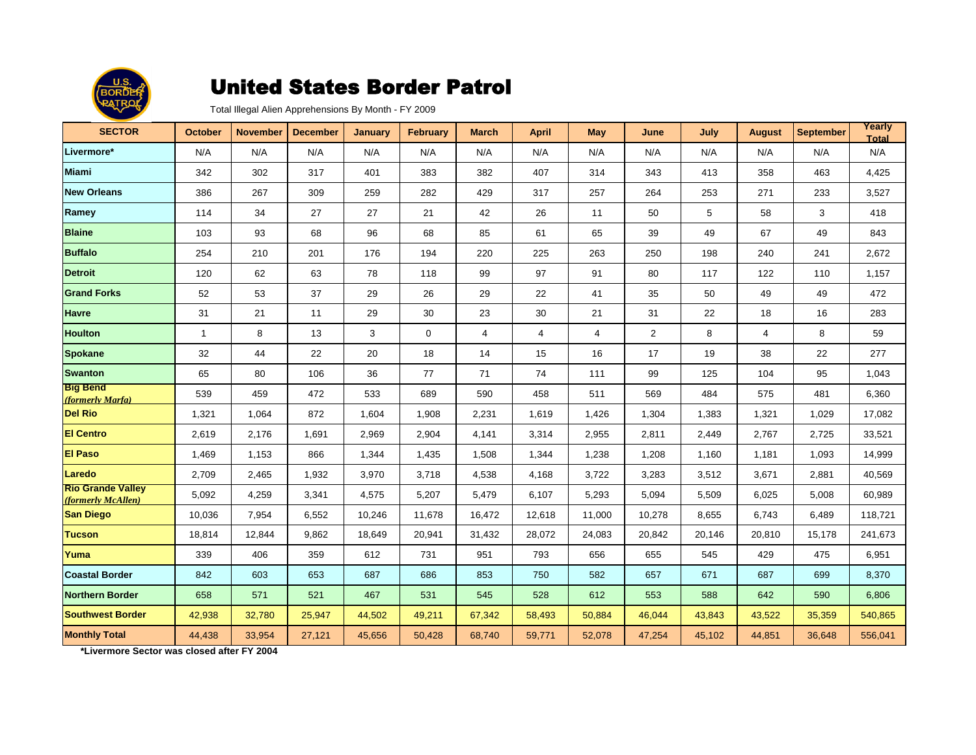

Total Illegal Alien Apprehensions By Month - FY 2009

| <b>SECTOR</b>                                  | <b>October</b> | <b>November</b> | <b>December</b> | <b>January</b> | <b>February</b> | <b>March</b>   | <b>April</b> | <b>May</b> | June           | July   | <b>August</b> | <b>September</b> | Yearly<br><b>Total</b> |
|------------------------------------------------|----------------|-----------------|-----------------|----------------|-----------------|----------------|--------------|------------|----------------|--------|---------------|------------------|------------------------|
| Livermore*                                     | N/A            | N/A             | N/A             | N/A            | N/A             | N/A            | N/A          | N/A        | N/A            | N/A    | N/A           | N/A              | N/A                    |
| <b>Miami</b>                                   | 342            | 302             | 317             | 401            | 383             | 382            | 407          | 314        | 343            | 413    | 358           | 463              | 4,425                  |
| <b>New Orleans</b>                             | 386            | 267             | 309             | 259            | 282             | 429            | 317          | 257        | 264            | 253    | 271           | 233              | 3,527                  |
| Ramey                                          | 114            | 34              | 27              | 27             | 21              | 42             | 26           | 11         | 50             | 5      | 58            | 3                | 418                    |
| <b>Blaine</b>                                  | 103            | 93              | 68              | 96             | 68              | 85             | 61           | 65         | 39             | 49     | 67            | 49               | 843                    |
| <b>Buffalo</b>                                 | 254            | 210             | 201             | 176            | 194             | 220            | 225          | 263        | 250            | 198    | 240           | 241              | 2,672                  |
| <b>Detroit</b>                                 | 120            | 62              | 63              | 78             | 118             | 99             | 97           | 91         | 80             | 117    | 122           | 110              | 1,157                  |
| <b>Grand Forks</b>                             | 52             | 53              | 37              | 29             | 26              | 29             | 22           | 41         | 35             | 50     | 49            | 49               | 472                    |
| <b>Havre</b>                                   | 31             | 21              | 11              | 29             | 30              | 23             | 30           | 21         | 31             | 22     | 18            | 16               | 283                    |
| <b>Houlton</b>                                 | $\mathbf{1}$   | 8               | 13              | 3              | $\mathbf 0$     | $\overline{4}$ | 4            | 4          | $\overline{2}$ | 8      | 4             | 8                | 59                     |
| <b>Spokane</b>                                 | 32             | 44              | 22              | 20             | 18              | 14             | 15           | 16         | 17             | 19     | 38            | 22               | 277                    |
| <b>Swanton</b>                                 | 65             | 80              | 106             | 36             | 77              | 71             | 74           | 111        | 99             | 125    | 104           | 95               | 1,043                  |
| <b>Big Bend</b><br>(formerly Marfa)            | 539            | 459             | 472             | 533            | 689             | 590            | 458          | 511        | 569            | 484    | 575           | 481              | 6,360                  |
| <b>Del Rio</b>                                 | 1,321          | 1.064           | 872             | 1,604          | 1,908           | 2,231          | 1,619        | 1,426      | 1,304          | 1,383  | 1,321         | 1,029            | 17,082                 |
| <b>El Centro</b>                               | 2,619          | 2,176           | 1,691           | 2,969          | 2,904           | 4,141          | 3,314        | 2,955      | 2,811          | 2,449  | 2,767         | 2,725            | 33,521                 |
| <b>El Paso</b>                                 | 1,469          | 1,153           | 866             | 1,344          | 1,435           | 1,508          | 1,344        | 1,238      | 1,208          | 1,160  | 1,181         | 1,093            | 14,999                 |
| Laredo                                         | 2,709          | 2,465           | 1,932           | 3,970          | 3,718           | 4,538          | 4,168        | 3,722      | 3,283          | 3,512  | 3,671         | 2,881            | 40,569                 |
| <b>Rio Grande Valley</b><br>(formerly McAllen) | 5,092          | 4,259           | 3,341           | 4,575          | 5,207           | 5,479          | 6,107        | 5,293      | 5,094          | 5,509  | 6,025         | 5,008            | 60,989                 |
| <b>San Diego</b>                               | 10,036         | 7,954           | 6,552           | 10,246         | 11,678          | 16,472         | 12,618       | 11,000     | 10,278         | 8,655  | 6,743         | 6,489            | 118,721                |
| <b>Tucson</b>                                  | 18,814         | 12,844          | 9,862           | 18,649         | 20,941          | 31,432         | 28,072       | 24,083     | 20,842         | 20,146 | 20,810        | 15,178           | 241,673                |
| Yuma                                           | 339            | 406             | 359             | 612            | 731             | 951            | 793          | 656        | 655            | 545    | 429           | 475              | 6,951                  |
| <b>Coastal Border</b>                          | 842            | 603             | 653             | 687            | 686             | 853            | 750          | 582        | 657            | 671    | 687           | 699              | 8,370                  |
| <b>Northern Border</b>                         | 658            | 571             | 521             | 467            | 531             | 545            | 528          | 612        | 553            | 588    | 642           | 590              | 6,806                  |
| <b>Southwest Border</b>                        | 42,938         | 32,780          | 25,947          | 44,502         | 49,211          | 67,342         | 58,493       | 50,884     | 46,044         | 43,843 | 43,522        | 35,359           | 540,865                |
| <b>Monthly Total</b>                           | 44,438         | 33,954          | 27,121          | 45,656         | 50,428          | 68,740         | 59,771       | 52,078     | 47,254         | 45,102 | 44,851        | 36,648           | 556,041                |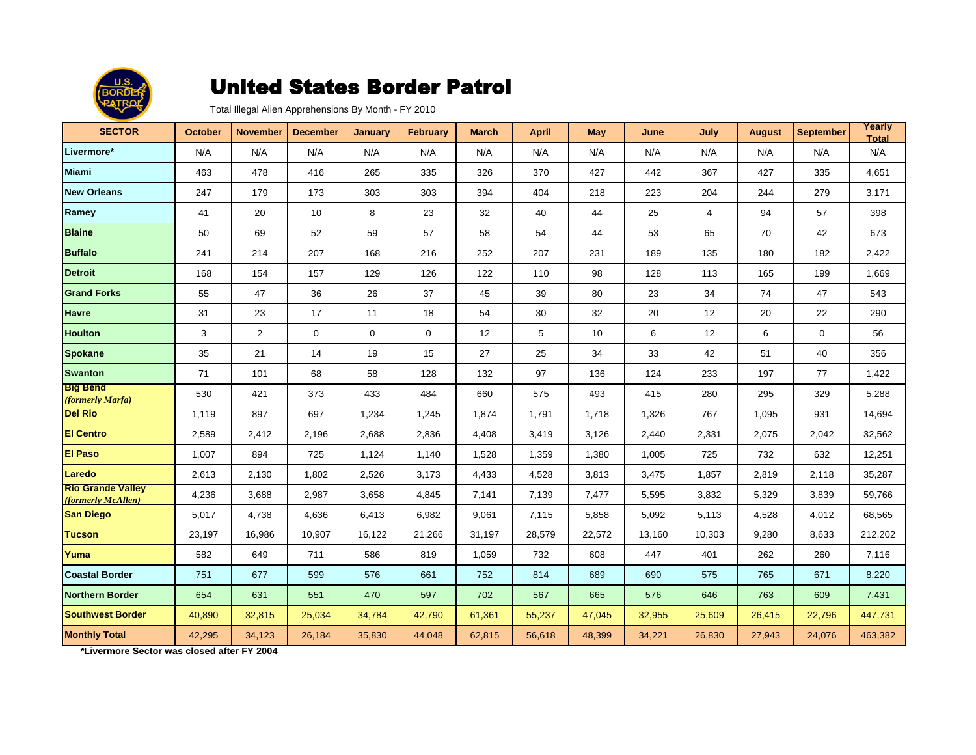

Total Illegal Alien Apprehensions By Month - FY 2010

| <b>SECTOR</b>                                  | <b>October</b> | <b>November</b> | <b>December</b> | <b>January</b> | <b>February</b> | <b>March</b> | <b>April</b> | <b>May</b> | June   | July           | <b>August</b> | <b>September</b> | Yearly<br><b>Total</b> |
|------------------------------------------------|----------------|-----------------|-----------------|----------------|-----------------|--------------|--------------|------------|--------|----------------|---------------|------------------|------------------------|
| Livermore*                                     | N/A            | N/A             | N/A             | N/A            | N/A             | N/A          | N/A          | N/A        | N/A    | N/A            | N/A           | N/A              | N/A                    |
| <b>Miami</b>                                   | 463            | 478             | 416             | 265            | 335             | 326          | 370          | 427        | 442    | 367            | 427           | 335              | 4,651                  |
| <b>New Orleans</b>                             | 247            | 179             | 173             | 303            | 303             | 394          | 404          | 218        | 223    | 204            | 244           | 279              | 3,171                  |
| Ramey                                          | 41             | 20              | 10              | 8              | 23              | 32           | 40           | 44         | 25     | $\overline{4}$ | 94            | 57               | 398                    |
| <b>Blaine</b>                                  | 50             | 69              | 52              | 59             | 57              | 58           | 54           | 44         | 53     | 65             | 70            | 42               | 673                    |
| <b>Buffalo</b>                                 | 241            | 214             | 207             | 168            | 216             | 252          | 207          | 231        | 189    | 135            | 180           | 182              | 2,422                  |
| <b>Detroit</b>                                 | 168            | 154             | 157             | 129            | 126             | 122          | 110          | 98         | 128    | 113            | 165           | 199              | 1,669                  |
| <b>Grand Forks</b>                             | 55             | 47              | 36              | 26             | 37              | 45           | 39           | 80         | 23     | 34             | 74            | 47               | 543                    |
| <b>Havre</b>                                   | 31             | 23              | 17              | 11             | 18              | 54           | 30           | 32         | 20     | 12             | 20            | 22               | 290                    |
| <b>Houlton</b>                                 | 3              | 2               | $\mathbf 0$     | 0              | 0               | 12           | 5            | 10         | 6      | 12             | 6             | $\mathbf 0$      | 56                     |
| <b>Spokane</b>                                 | 35             | 21              | 14              | 19             | 15              | 27           | 25           | 34         | 33     | 42             | 51            | 40               | 356                    |
| <b>Swanton</b>                                 | 71             | 101             | 68              | 58             | 128             | 132          | 97           | 136        | 124    | 233            | 197           | 77               | 1,422                  |
| <b>Big Bend</b><br>(formerly Marfa)            | 530            | 421             | 373             | 433            | 484             | 660          | 575          | 493        | 415    | 280            | 295           | 329              | 5,288                  |
| <b>Del Rio</b>                                 | 1,119          | 897             | 697             | 1.234          | 1,245           | 1.874        | 1,791        | 1.718      | 1,326  | 767            | 1,095         | 931              | 14,694                 |
| <b>El Centro</b>                               | 2,589          | 2,412           | 2,196           | 2,688          | 2,836           | 4,408        | 3,419        | 3,126      | 2,440  | 2,331          | 2,075         | 2,042            | 32,562                 |
| <b>El Paso</b>                                 | 1,007          | 894             | 725             | 1,124          | 1,140           | 1,528        | 1,359        | 1,380      | 1,005  | 725            | 732           | 632              | 12,251                 |
| Laredo                                         | 2,613          | 2,130           | 1,802           | 2,526          | 3,173           | 4,433        | 4,528        | 3,813      | 3,475  | 1,857          | 2,819         | 2,118            | 35,287                 |
| <b>Rio Grande Valley</b><br>(formerly McAllen) | 4,236          | 3,688           | 2,987           | 3,658          | 4,845           | 7,141        | 7,139        | 7,477      | 5,595  | 3,832          | 5,329         | 3,839            | 59,766                 |
| <b>San Diego</b>                               | 5,017          | 4,738           | 4,636           | 6,413          | 6,982           | 9,061        | 7,115        | 5,858      | 5,092  | 5,113          | 4,528         | 4,012            | 68,565                 |
| <b>Tucson</b>                                  | 23,197         | 16,986          | 10,907          | 16,122         | 21,266          | 31,197       | 28,579       | 22,572     | 13.160 | 10,303         | 9,280         | 8,633            | 212,202                |
| Yuma                                           | 582            | 649             | 711             | 586            | 819             | 1,059        | 732          | 608        | 447    | 401            | 262           | 260              | 7,116                  |
| <b>Coastal Border</b>                          | 751            | 677             | 599             | 576            | 661             | 752          | 814          | 689        | 690    | 575            | 765           | 671              | 8,220                  |
| <b>Northern Border</b>                         | 654            | 631             | 551             | 470            | 597             | 702          | 567          | 665        | 576    | 646            | 763           | 609              | 7,431                  |
| <b>Southwest Border</b>                        | 40,890         | 32,815          | 25,034          | 34,784         | 42,790          | 61,361       | 55,237       | 47,045     | 32,955 | 25,609         | 26,415        | 22,796           | 447,731                |
| <b>Monthly Total</b>                           | 42,295         | 34,123          | 26,184          | 35,830         | 44,048          | 62,815       | 56,618       | 48,399     | 34,221 | 26,830         | 27,943        | 24,076           | 463,382                |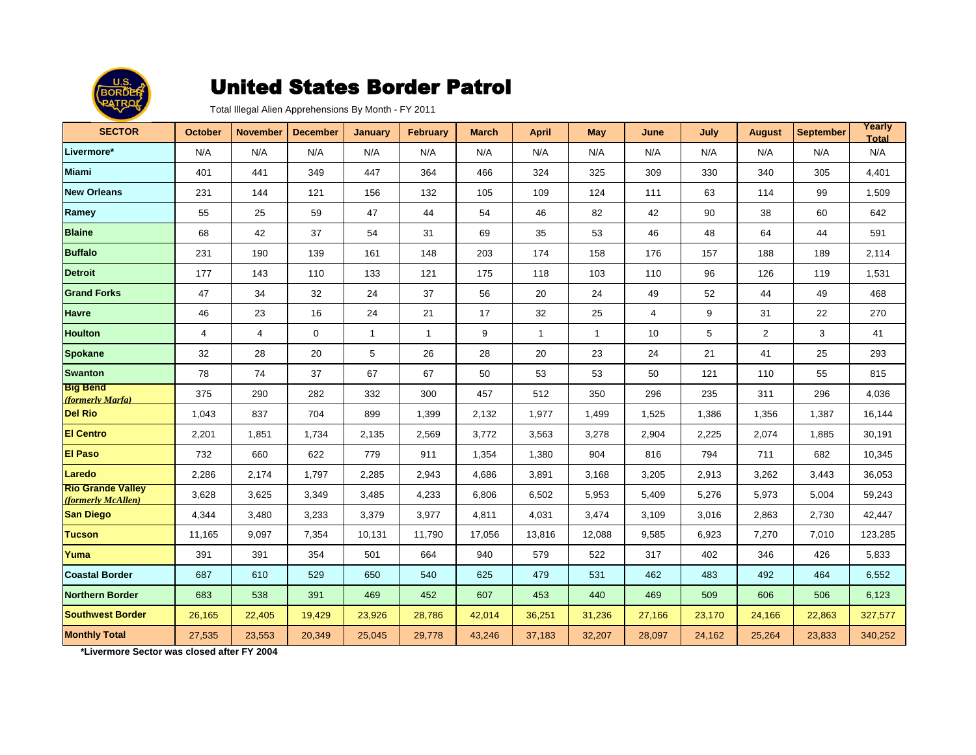

Total Illegal Alien Apprehensions By Month - FY 2011

| <b>SECTOR</b>                                  | <b>October</b> | <b>November</b> | <b>December</b> | <b>January</b> | <b>February</b> | <b>March</b> | <b>April</b> | <b>May</b>   | June   | July   | <b>August</b>  | <b>September</b> | Yearly<br><b>Total</b> |
|------------------------------------------------|----------------|-----------------|-----------------|----------------|-----------------|--------------|--------------|--------------|--------|--------|----------------|------------------|------------------------|
| Livermore*                                     | N/A            | N/A             | N/A             | N/A            | N/A             | N/A          | N/A          | N/A          | N/A    | N/A    | N/A            | N/A              | N/A                    |
| <b>Miami</b>                                   | 401            | 441             | 349             | 447            | 364             | 466          | 324          | 325          | 309    | 330    | 340            | 305              | 4,401                  |
| <b>New Orleans</b>                             | 231            | 144             | 121             | 156            | 132             | 105          | 109          | 124          | 111    | 63     | 114            | 99               | 1,509                  |
| Ramey                                          | 55             | 25              | 59              | 47             | 44              | 54           | 46           | 82           | 42     | 90     | 38             | 60               | 642                    |
| <b>Blaine</b>                                  | 68             | 42              | 37              | 54             | 31              | 69           | 35           | 53           | 46     | 48     | 64             | 44               | 591                    |
| <b>Buffalo</b>                                 | 231            | 190             | 139             | 161            | 148             | 203          | 174          | 158          | 176    | 157    | 188            | 189              | 2,114                  |
| <b>Detroit</b>                                 | 177            | 143             | 110             | 133            | 121             | 175          | 118          | 103          | 110    | 96     | 126            | 119              | 1,531                  |
| <b>Grand Forks</b>                             | 47             | 34              | 32              | 24             | 37              | 56           | 20           | 24           | 49     | 52     | 44             | 49               | 468                    |
| <b>Havre</b>                                   | 46             | 23              | 16              | 24             | 21              | 17           | 32           | 25           | 4      | 9      | 31             | 22               | 270                    |
| <b>Houlton</b>                                 | $\overline{4}$ | $\overline{4}$  | $\mathbf 0$     | $\mathbf{1}$   | $\mathbf{1}$    | 9            | $\mathbf{1}$ | $\mathbf{1}$ | 10     | 5      | $\overline{2}$ | 3                | 41                     |
| <b>Spokane</b>                                 | 32             | 28              | 20              | 5              | 26              | 28           | 20           | 23           | 24     | 21     | 41             | 25               | 293                    |
| <b>Swanton</b>                                 | 78             | 74              | 37              | 67             | 67              | 50           | 53           | 53           | 50     | 121    | 110            | 55               | 815                    |
| <b>Big Bend</b><br>(formerly Marfa)            | 375            | 290             | 282             | 332            | 300             | 457          | 512          | 350          | 296    | 235    | 311            | 296              | 4,036                  |
| <b>Del Rio</b>                                 | 1,043          | 837             | 704             | 899            | 1,399           | 2.132        | 1,977        | 1,499        | 1,525  | 1,386  | 1,356          | 1,387            | 16.144                 |
| <b>El Centro</b>                               | 2,201          | 1,851           | 1,734           | 2,135          | 2,569           | 3,772        | 3,563        | 3,278        | 2,904  | 2,225  | 2,074          | 1,885            | 30,191                 |
| <b>El Paso</b>                                 | 732            | 660             | 622             | 779            | 911             | 1,354        | 1,380        | 904          | 816    | 794    | 711            | 682              | 10,345                 |
| Laredo                                         | 2,286          | 2,174           | 1,797           | 2,285          | 2,943           | 4,686        | 3.891        | 3.168        | 3,205  | 2,913  | 3,262          | 3,443            | 36.053                 |
| <b>Rio Grande Valley</b><br>(formerly McAllen) | 3,628          | 3,625           | 3,349           | 3,485          | 4,233           | 6,806        | 6,502        | 5,953        | 5,409  | 5,276  | 5,973          | 5,004            | 59,243                 |
| <b>San Diego</b>                               | 4,344          | 3,480           | 3,233           | 3,379          | 3,977           | 4,811        | 4,031        | 3,474        | 3,109  | 3,016  | 2,863          | 2,730            | 42,447                 |
| <b>Tucson</b>                                  | 11,165         | 9,097           | 7,354           | 10,131         | 11,790          | 17,056       | 13,816       | 12,088       | 9,585  | 6,923  | 7,270          | 7,010            | 123,285                |
| Yuma                                           | 391            | 391             | 354             | 501            | 664             | 940          | 579          | 522          | 317    | 402    | 346            | 426              | 5,833                  |
| <b>Coastal Border</b>                          | 687            | 610             | 529             | 650            | 540             | 625          | 479          | 531          | 462    | 483    | 492            | 464              | 6,552                  |
| <b>Northern Border</b>                         | 683            | 538             | 391             | 469            | 452             | 607          | 453          | 440          | 469    | 509    | 606            | 506              | 6,123                  |
| <b>Southwest Border</b>                        | 26,165         | 22,405          | 19,429          | 23,926         | 28,786          | 42,014       | 36,251       | 31,236       | 27,166 | 23,170 | 24,166         | 22,863           | 327,577                |
| <b>Monthly Total</b>                           | 27,535         | 23,553          | 20,349          | 25,045         | 29,778          | 43,246       | 37,183       | 32,207       | 28,097 | 24,162 | 25,264         | 23,833           | 340,252                |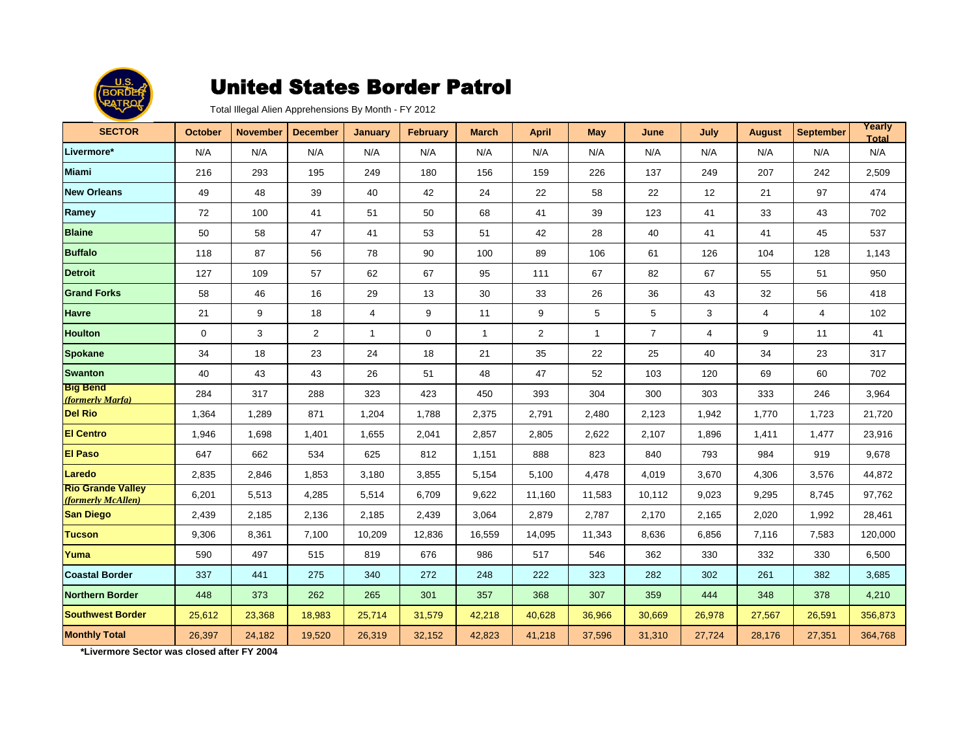

Total Illegal Alien Apprehensions By Month - FY 2012

| <b>SECTOR</b>                                  | <b>October</b> | <b>November</b> | <b>December</b> | <b>January</b> | <b>February</b> | <b>March</b> | <b>April</b>   | <b>May</b>   | June           | July           | <b>August</b>  | <b>September</b> | Yearly<br><b>Total</b> |
|------------------------------------------------|----------------|-----------------|-----------------|----------------|-----------------|--------------|----------------|--------------|----------------|----------------|----------------|------------------|------------------------|
| Livermore*                                     | N/A            | N/A             | N/A             | N/A            | N/A             | N/A          | N/A            | N/A          | N/A            | N/A            | N/A            | N/A              | N/A                    |
| <b>Miami</b>                                   | 216            | 293             | 195             | 249            | 180             | 156          | 159            | 226          | 137            | 249            | 207            | 242              | 2,509                  |
| <b>New Orleans</b>                             | 49             | 48              | 39              | 40             | 42              | 24           | 22             | 58           | 22             | 12             | 21             | 97               | 474                    |
| Ramey                                          | 72             | 100             | 41              | 51             | 50              | 68           | 41             | 39           | 123            | 41             | 33             | 43               | 702                    |
| <b>Blaine</b>                                  | 50             | 58              | 47              | 41             | 53              | 51           | 42             | 28           | 40             | 41             | 41             | 45               | 537                    |
| <b>Buffalo</b>                                 | 118            | 87              | 56              | 78             | 90              | 100          | 89             | 106          | 61             | 126            | 104            | 128              | 1,143                  |
| <b>Detroit</b>                                 | 127            | 109             | 57              | 62             | 67              | 95           | 111            | 67           | 82             | 67             | 55             | 51               | 950                    |
| <b>Grand Forks</b>                             | 58             | 46              | 16              | 29             | 13              | 30           | 33             | 26           | 36             | 43             | 32             | 56               | 418                    |
| <b>Havre</b>                                   | 21             | 9               | 18              | 4              | 9               | 11           | 9              | 5            | 5              | 3              | $\overline{4}$ | $\overline{4}$   | 102                    |
| <b>Houlton</b>                                 | $\mathbf 0$    | 3               | $\overline{2}$  | $\mathbf{1}$   | 0               | $\mathbf{1}$ | $\overline{a}$ | $\mathbf{1}$ | $\overline{7}$ | $\overline{4}$ | 9              | 11               | 41                     |
| <b>Spokane</b>                                 | 34             | 18              | 23              | 24             | 18              | 21           | 35             | 22           | 25             | 40             | 34             | 23               | 317                    |
| <b>Swanton</b>                                 | 40             | 43              | 43              | 26             | 51              | 48           | 47             | 52           | 103            | 120            | 69             | 60               | 702                    |
| <b>Big Bend</b><br>(formerly Marfa)            | 284            | 317             | 288             | 323            | 423             | 450          | 393            | 304          | 300            | 303            | 333            | 246              | 3,964                  |
| <b>Del Rio</b>                                 | 1,364          | 1.289           | 871             | 1.204          | 1.788           | 2,375        | 2,791          | 2.480        | 2,123          | 1,942          | 1,770          | 1,723            | 21,720                 |
| <b>El Centro</b>                               | 1,946          | 1,698           | 1,401           | 1,655          | 2,041           | 2,857        | 2,805          | 2,622        | 2,107          | 1,896          | 1,411          | 1,477            | 23,916                 |
| <b>El Paso</b>                                 | 647            | 662             | 534             | 625            | 812             | 1,151        | 888            | 823          | 840            | 793            | 984            | 919              | 9,678                  |
| Laredo                                         | 2,835          | 2,846           | 1,853           | 3,180          | 3,855           | 5,154        | 5,100          | 4,478        | 4,019          | 3,670          | 4,306          | 3,576            | 44,872                 |
| <b>Rio Grande Valley</b><br>(formerly McAllen) | 6,201          | 5,513           | 4,285           | 5,514          | 6,709           | 9,622        | 11,160         | 11,583       | 10,112         | 9,023          | 9,295          | 8,745            | 97,762                 |
| <b>San Diego</b>                               | 2,439          | 2,185           | 2,136           | 2,185          | 2,439           | 3,064        | 2,879          | 2,787        | 2,170          | 2,165          | 2,020          | 1,992            | 28,461                 |
| <b>Tucson</b>                                  | 9,306          | 8,361           | 7,100           | 10,209         | 12,836          | 16,559       | 14,095         | 11,343       | 8,636          | 6,856          | 7,116          | 7,583            | 120,000                |
| Yuma                                           | 590            | 497             | 515             | 819            | 676             | 986          | 517            | 546          | 362            | 330            | 332            | 330              | 6,500                  |
| <b>Coastal Border</b>                          | 337            | 441             | 275             | 340            | 272             | 248          | 222            | 323          | 282            | 302            | 261            | 382              | 3,685                  |
| <b>Northern Border</b>                         | 448            | 373             | 262             | 265            | 301             | 357          | 368            | 307          | 359            | 444            | 348            | 378              | 4,210                  |
| <b>Southwest Border</b>                        | 25,612         | 23,368          | 18,983          | 25,714         | 31,579          | 42,218       | 40,628         | 36,966       | 30,669         | 26,978         | 27,567         | 26,591           | 356,873                |
| <b>Monthly Total</b>                           | 26,397         | 24,182          | 19,520          | 26,319         | 32,152          | 42,823       | 41,218         | 37,596       | 31,310         | 27,724         | 28,176         | 27,351           | 364,768                |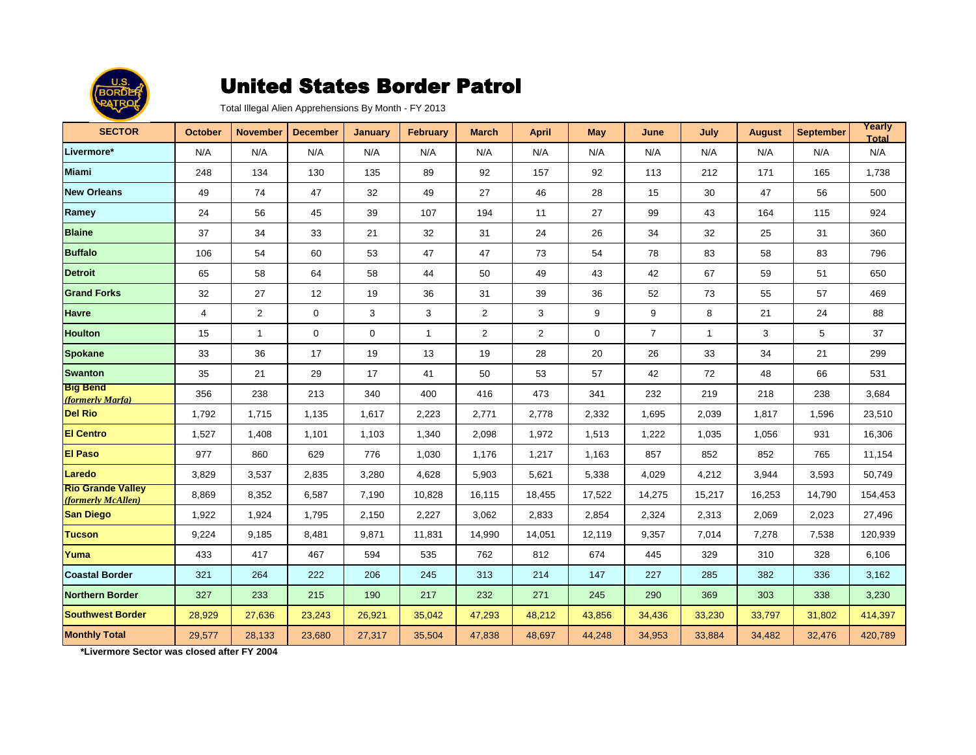

Total Illegal Alien Apprehensions By Month - FY 2013

| <b>SECTOR</b>                                  | <b>October</b> | <b>November</b> | <b>December</b> | <b>January</b> | <b>February</b> | <b>March</b>   | <b>April</b>   | <b>May</b> | June           | July           | <b>August</b> | <b>September</b> | Yearly<br><b>Total</b> |
|------------------------------------------------|----------------|-----------------|-----------------|----------------|-----------------|----------------|----------------|------------|----------------|----------------|---------------|------------------|------------------------|
| Livermore*                                     | N/A            | N/A             | N/A             | N/A            | N/A             | N/A            | N/A            | N/A        | N/A            | N/A            | N/A           | N/A              | N/A                    |
| <b>Miami</b>                                   | 248            | 134             | 130             | 135            | 89              | 92             | 157            | 92         | 113            | 212            | 171           | 165              | 1,738                  |
| <b>New Orleans</b>                             | 49             | 74              | 47              | 32             | 49              | 27             | 46             | 28         | 15             | 30             | 47            | 56               | 500                    |
| Ramey                                          | 24             | 56              | 45              | 39             | 107             | 194            | 11             | 27         | 99             | 43             | 164           | 115              | 924                    |
| <b>Blaine</b>                                  | 37             | 34              | 33              | 21             | 32              | 31             | 24             | 26         | 34             | 32             | 25            | 31               | 360                    |
| <b>Buffalo</b>                                 | 106            | 54              | 60              | 53             | 47              | 47             | 73             | 54         | 78             | 83             | 58            | 83               | 796                    |
| <b>Detroit</b>                                 | 65             | 58              | 64              | 58             | 44              | 50             | 49             | 43         | 42             | 67             | 59            | 51               | 650                    |
| <b>Grand Forks</b>                             | 32             | 27              | 12              | 19             | 36              | 31             | 39             | 36         | 52             | 73             | 55            | 57               | 469                    |
| <b>Havre</b>                                   | $\overline{4}$ | $\overline{2}$  | $\mathbf 0$     | 3              | 3               | $\overline{2}$ | 3              | 9          | 9              | 8              | 21            | 24               | 88                     |
| <b>Houlton</b>                                 | 15             | $\mathbf{1}$    | $\mathbf 0$     | $\mathbf 0$    | $\mathbf{1}$    | $\overline{2}$ | $\overline{2}$ | 0          | $\overline{7}$ | $\overline{1}$ | 3             | 5                | 37                     |
| <b>Spokane</b>                                 | 33             | 36              | 17              | 19             | 13              | 19             | 28             | 20         | 26             | 33             | 34            | 21               | 299                    |
| <b>Swanton</b>                                 | 35             | 21              | 29              | 17             | 41              | 50             | 53             | 57         | 42             | 72             | 48            | 66               | 531                    |
| <b>Big Bend</b><br>(formerly Marfa)            | 356            | 238             | 213             | 340            | 400             | 416            | 473            | 341        | 232            | 219            | 218           | 238              | 3,684                  |
| <b>Del Rio</b>                                 | 1,792          | 1,715           | 1,135           | 1,617          | 2,223           | 2,771          | 2,778          | 2,332      | 1,695          | 2,039          | 1,817         | 1,596            | 23,510                 |
| <b>El Centro</b>                               | 1,527          | 1,408           | 1,101           | 1,103          | 1,340           | 2,098          | 1,972          | 1,513      | 1,222          | 1,035          | 1,056         | 931              | 16,306                 |
| <b>El Paso</b>                                 | 977            | 860             | 629             | 776            | 1,030           | 1,176          | 1,217          | 1,163      | 857            | 852            | 852           | 765              | 11,154                 |
| Laredo                                         | 3,829          | 3,537           | 2,835           | 3,280          | 4,628           | 5,903          | 5,621          | 5,338      | 4,029          | 4,212          | 3,944         | 3,593            | 50,749                 |
| <b>Rio Grande Valley</b><br>(formerly McAllen) | 8,869          | 8,352           | 6,587           | 7,190          | 10,828          | 16,115         | 18,455         | 17,522     | 14,275         | 15,217         | 16,253        | 14,790           | 154,453                |
| <b>San Diego</b>                               | 1,922          | 1,924           | 1,795           | 2,150          | 2,227           | 3,062          | 2,833          | 2,854      | 2,324          | 2,313          | 2,069         | 2,023            | 27,496                 |
| <b>Tucson</b>                                  | 9,224          | 9,185           | 8,481           | 9,871          | 11,831          | 14,990         | 14,051         | 12,119     | 9,357          | 7,014          | 7,278         | 7,538            | 120,939                |
| Yuma                                           | 433            | 417             | 467             | 594            | 535             | 762            | 812            | 674        | 445            | 329            | 310           | 328              | 6,106                  |
| <b>Coastal Border</b>                          | 321            | 264             | 222             | 206            | 245             | 313            | 214            | 147        | 227            | 285            | 382           | 336              | 3,162                  |
| <b>Northern Border</b>                         | 327            | 233             | 215             | 190            | 217             | 232            | 271            | 245        | 290            | 369            | 303           | 338              | 3,230                  |
| <b>Southwest Border</b>                        | 28,929         | 27,636          | 23,243          | 26,921         | 35,042          | 47,293         | 48,212         | 43,856     | 34,436         | 33,230         | 33,797        | 31,802           | 414,397                |
| <b>Monthly Total</b>                           | 29,577         | 28,133          | 23,680          | 27,317         | 35,504          | 47,838         | 48,697         | 44,248     | 34,953         | 33,884         | 34,482        | 32,476           | 420,789                |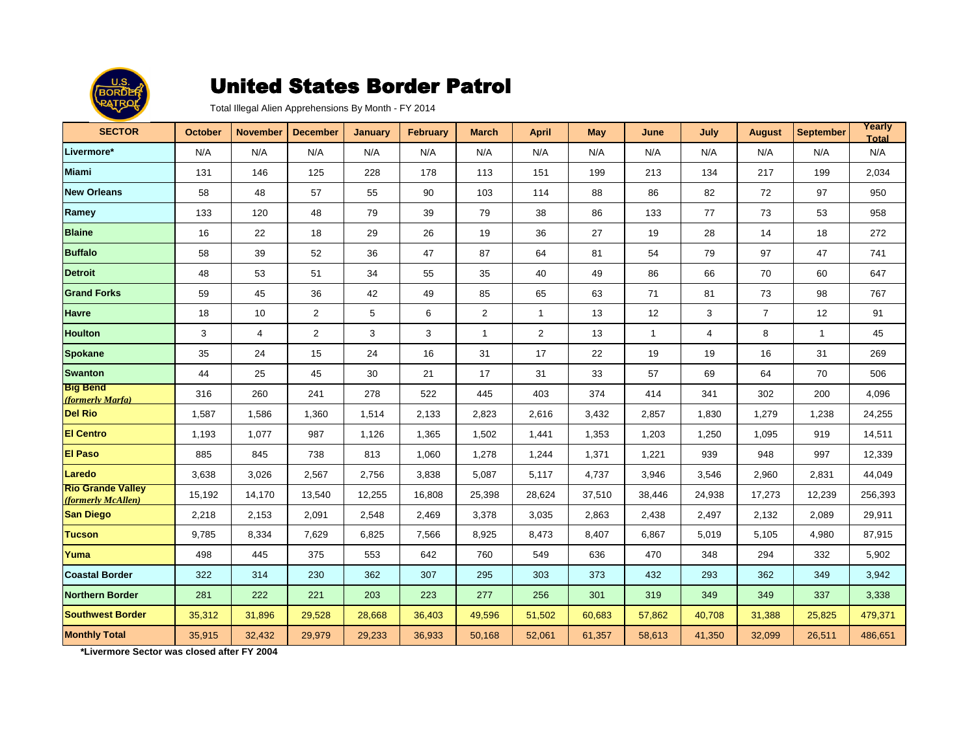

Total Illegal Alien Apprehensions By Month - FY 2014

| <b>SECTOR</b>                                  | <b>October</b> | <b>November</b> | <b>December</b> | <b>January</b> | <b>February</b> | <b>March</b>   | <b>April</b>   | <b>May</b> | June         | July           | <b>August</b>  | <b>September</b> | Yearly<br><b>Total</b> |
|------------------------------------------------|----------------|-----------------|-----------------|----------------|-----------------|----------------|----------------|------------|--------------|----------------|----------------|------------------|------------------------|
| Livermore*                                     | N/A            | N/A             | N/A             | N/A            | N/A             | N/A            | N/A            | N/A        | N/A          | N/A            | N/A            | N/A              | N/A                    |
| <b>Miami</b>                                   | 131            | 146             | 125             | 228            | 178             | 113            | 151            | 199        | 213          | 134            | 217            | 199              | 2,034                  |
| <b>New Orleans</b>                             | 58             | 48              | 57              | 55             | 90              | 103            | 114            | 88         | 86           | 82             | 72             | 97               | 950                    |
| Ramey                                          | 133            | 120             | 48              | 79             | 39              | 79             | 38             | 86         | 133          | 77             | 73             | 53               | 958                    |
| <b>Blaine</b>                                  | 16             | 22              | 18              | 29             | 26              | 19             | 36             | 27         | 19           | 28             | 14             | 18               | 272                    |
| <b>Buffalo</b>                                 | 58             | 39              | 52              | 36             | 47              | 87             | 64             | 81         | 54           | 79             | 97             | 47               | 741                    |
| <b>Detroit</b>                                 | 48             | 53              | 51              | 34             | 55              | 35             | 40             | 49         | 86           | 66             | 70             | 60               | 647                    |
| <b>Grand Forks</b>                             | 59             | 45              | 36              | 42             | 49              | 85             | 65             | 63         | 71           | 81             | 73             | 98               | 767                    |
| Havre                                          | 18             | 10              | $\overline{2}$  | 5              | 6               | $\overline{2}$ | $\mathbf{1}$   | 13         | 12           | 3              | $\overline{7}$ | 12               | 91                     |
| <b>Houlton</b>                                 | 3              | $\overline{4}$  | $\overline{2}$  | 3              | 3               | $\mathbf{1}$   | $\overline{2}$ | 13         | $\mathbf{1}$ | $\overline{4}$ | 8              | $\mathbf{1}$     | 45                     |
| <b>Spokane</b>                                 | 35             | 24              | 15              | 24             | 16              | 31             | 17             | 22         | 19           | 19             | 16             | 31               | 269                    |
| <b>Swanton</b>                                 | 44             | 25              | 45              | 30             | 21              | 17             | 31             | 33         | 57           | 69             | 64             | 70               | 506                    |
| <b>Big Bend</b><br>(formerly Marfa)            | 316            | 260             | 241             | 278            | 522             | 445            | 403            | 374        | 414          | 341            | 302            | 200              | 4,096                  |
| <b>Del Rio</b>                                 | 1,587          | 1.586           | 1,360           | 1,514          | 2,133           | 2,823          | 2,616          | 3,432      | 2,857        | 1,830          | 1,279          | 1,238            | 24,255                 |
| <b>El Centro</b>                               | 1,193          | 1,077           | 987             | 1,126          | 1,365           | 1,502          | 1,441          | 1,353      | 1,203        | 1,250          | 1,095          | 919              | 14,511                 |
| <b>El Paso</b>                                 | 885            | 845             | 738             | 813            | 1,060           | 1,278          | 1,244          | 1,371      | 1,221        | 939            | 948            | 997              | 12,339                 |
| Laredo                                         | 3,638          | 3.026           | 2,567           | 2,756          | 3,838           | 5,087          | 5,117          | 4,737      | 3,946        | 3,546          | 2.960          | 2,831            | 44.049                 |
| <b>Rio Grande Valley</b><br>(formerly McAllen) | 15,192         | 14,170          | 13,540          | 12,255         | 16,808          | 25,398         | 28,624         | 37,510     | 38,446       | 24,938         | 17,273         | 12,239           | 256,393                |
| <b>San Diego</b>                               | 2,218          | 2,153           | 2,091           | 2,548          | 2,469           | 3,378          | 3,035          | 2,863      | 2,438        | 2,497          | 2,132          | 2,089            | 29,911                 |
| <b>Tucson</b>                                  | 9,785          | 8,334           | 7,629           | 6,825          | 7,566           | 8,925          | 8,473          | 8,407      | 6,867        | 5,019          | 5,105          | 4,980            | 87,915                 |
| Yuma                                           | 498            | 445             | 375             | 553            | 642             | 760            | 549            | 636        | 470          | 348            | 294            | 332              | 5,902                  |
| <b>Coastal Border</b>                          | 322            | 314             | 230             | 362            | 307             | 295            | 303            | 373        | 432          | 293            | 362            | 349              | 3,942                  |
| <b>Northern Border</b>                         | 281            | 222             | 221             | 203            | 223             | 277            | 256            | 301        | 319          | 349            | 349            | 337              | 3,338                  |
| <b>Southwest Border</b>                        | 35,312         | 31,896          | 29,528          | 28,668         | 36,403          | 49,596         | 51,502         | 60,683     | 57,862       | 40,708         | 31,388         | 25,825           | 479,371                |
| <b>Monthly Total</b>                           | 35,915         | 32,432          | 29,979          | 29,233         | 36,933          | 50,168         | 52,061         | 61,357     | 58,613       | 41,350         | 32,099         | 26,511           | 486,651                |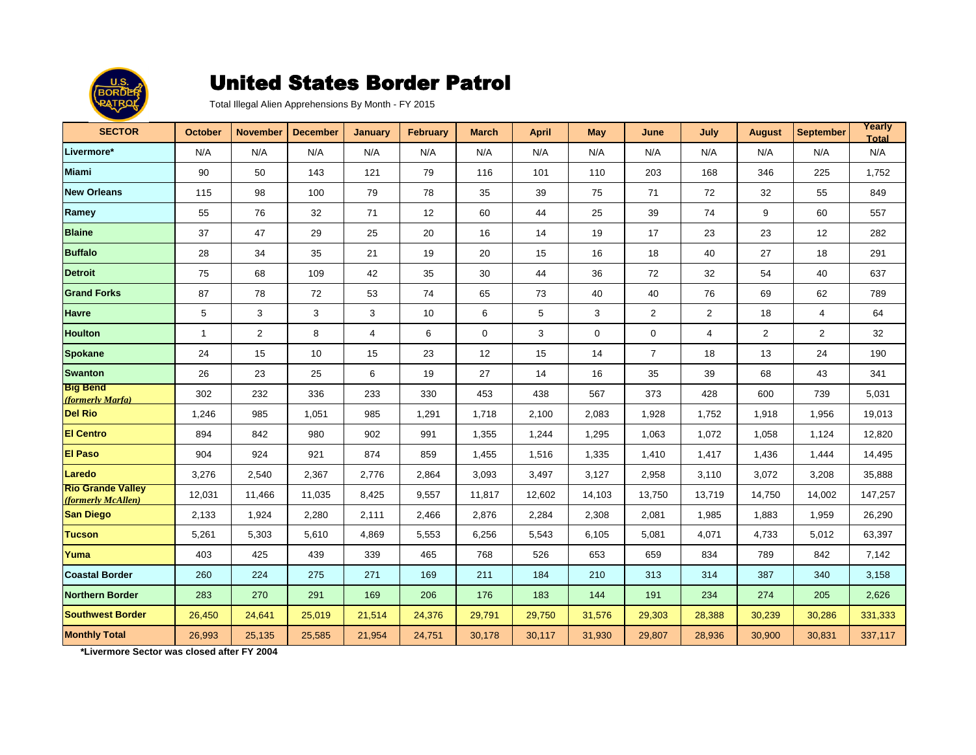

Total Illegal Alien Apprehensions By Month - FY 2015

| <b>SECTOR</b>                                  | <b>October</b> | <b>November</b> | <b>December</b> | <b>January</b> | <b>February</b> | <b>March</b> | <b>April</b> | <b>May</b>  | June           | July           | <b>August</b>  | <b>September</b> | Yearly<br><b>Total</b> |
|------------------------------------------------|----------------|-----------------|-----------------|----------------|-----------------|--------------|--------------|-------------|----------------|----------------|----------------|------------------|------------------------|
| Livermore*                                     | N/A            | N/A             | N/A             | N/A            | N/A             | N/A          | N/A          | N/A         | N/A            | N/A            | N/A            | N/A              | N/A                    |
| <b>Miami</b>                                   | 90             | 50              | 143             | 121            | 79              | 116          | 101          | 110         | 203            | 168            | 346            | 225              | 1,752                  |
| <b>New Orleans</b>                             | 115            | 98              | 100             | 79             | 78              | 35           | 39           | 75          | 71             | 72             | 32             | 55               | 849                    |
| Ramey                                          | 55             | 76              | 32              | 71             | 12              | 60           | 44           | 25          | 39             | 74             | 9              | 60               | 557                    |
| <b>Blaine</b>                                  | 37             | 47              | 29              | 25             | 20              | 16           | 14           | 19          | 17             | 23             | 23             | 12               | 282                    |
| <b>Buffalo</b>                                 | 28             | 34              | 35              | 21             | 19              | 20           | 15           | 16          | 18             | 40             | 27             | 18               | 291                    |
| <b>Detroit</b>                                 | 75             | 68              | 109             | 42             | 35              | 30           | 44           | 36          | 72             | 32             | 54             | 40               | 637                    |
| <b>Grand Forks</b>                             | 87             | 78              | 72              | 53             | 74              | 65           | 73           | 40          | 40             | 76             | 69             | 62               | 789                    |
| <b>Havre</b>                                   | 5              | 3               | 3               | 3              | 10              | 6            | 5            | 3           | 2              | $\overline{2}$ | 18             | $\overline{4}$   | 64                     |
| <b>Houlton</b>                                 | $\mathbf{1}$   | 2               | 8               | $\overline{4}$ | 6               | 0            | 3            | $\mathbf 0$ | $\mathbf 0$    | $\overline{4}$ | $\overline{2}$ | 2                | 32                     |
| <b>Spokane</b>                                 | 24             | 15              | 10              | 15             | 23              | 12           | 15           | 14          | $\overline{7}$ | 18             | 13             | 24               | 190                    |
| <b>Swanton</b>                                 | 26             | 23              | 25              | 6              | 19              | 27           | 14           | 16          | 35             | 39             | 68             | 43               | 341                    |
| <b>Big Bend</b><br>(formerly Marfa)            | 302            | 232             | 336             | 233            | 330             | 453          | 438          | 567         | 373            | 428            | 600            | 739              | 5,031                  |
| <b>Del Rio</b>                                 | 1,246          | 985             | 1,051           | 985            | 1,291           | 1,718        | 2,100        | 2,083       | 1,928          | 1,752          | 1,918          | 1,956            | 19,013                 |
| <b>El Centro</b>                               | 894            | 842             | 980             | 902            | 991             | 1,355        | 1,244        | 1,295       | 1,063          | 1,072          | 1,058          | 1,124            | 12,820                 |
| <b>El Paso</b>                                 | 904            | 924             | 921             | 874            | 859             | 1,455        | 1,516        | 1,335       | 1,410          | 1,417          | 1,436          | 1,444            | 14,495                 |
| Laredo                                         | 3,276          | 2,540           | 2,367           | 2,776          | 2,864           | 3,093        | 3,497        | 3,127       | 2,958          | 3,110          | 3,072          | 3,208            | 35,888                 |
| <b>Rio Grande Valley</b><br>(formerly McAllen) | 12,031         | 11,466          | 11,035          | 8,425          | 9,557           | 11,817       | 12,602       | 14,103      | 13,750         | 13,719         | 14,750         | 14,002           | 147,257                |
| <b>San Diego</b>                               | 2,133          | 1,924           | 2,280           | 2,111          | 2,466           | 2,876        | 2,284        | 2,308       | 2,081          | 1,985          | 1,883          | 1,959            | 26,290                 |
| <b>Tucson</b>                                  | 5,261          | 5,303           | 5,610           | 4,869          | 5,553           | 6,256        | 5,543        | 6.105       | 5,081          | 4,071          | 4,733          | 5,012            | 63,397                 |
| Yuma                                           | 403            | 425             | 439             | 339            | 465             | 768          | 526          | 653         | 659            | 834            | 789            | 842              | 7,142                  |
| <b>Coastal Border</b>                          | 260            | 224             | 275             | 271            | 169             | 211          | 184          | 210         | 313            | 314            | 387            | 340              | 3,158                  |
| <b>Northern Border</b>                         | 283            | 270             | 291             | 169            | 206             | 176          | 183          | 144         | 191            | 234            | 274            | 205              | 2,626                  |
| <b>Southwest Border</b>                        | 26,450         | 24,641          | 25,019          | 21,514         | 24,376          | 29,791       | 29,750       | 31,576      | 29,303         | 28,388         | 30,239         | 30,286           | 331,333                |
| <b>Monthly Total</b>                           | 26,993         | 25,135          | 25,585          | 21,954         | 24,751          | 30,178       | 30,117       | 31,930      | 29,807         | 28,936         | 30,900         | 30,831           | 337,117                |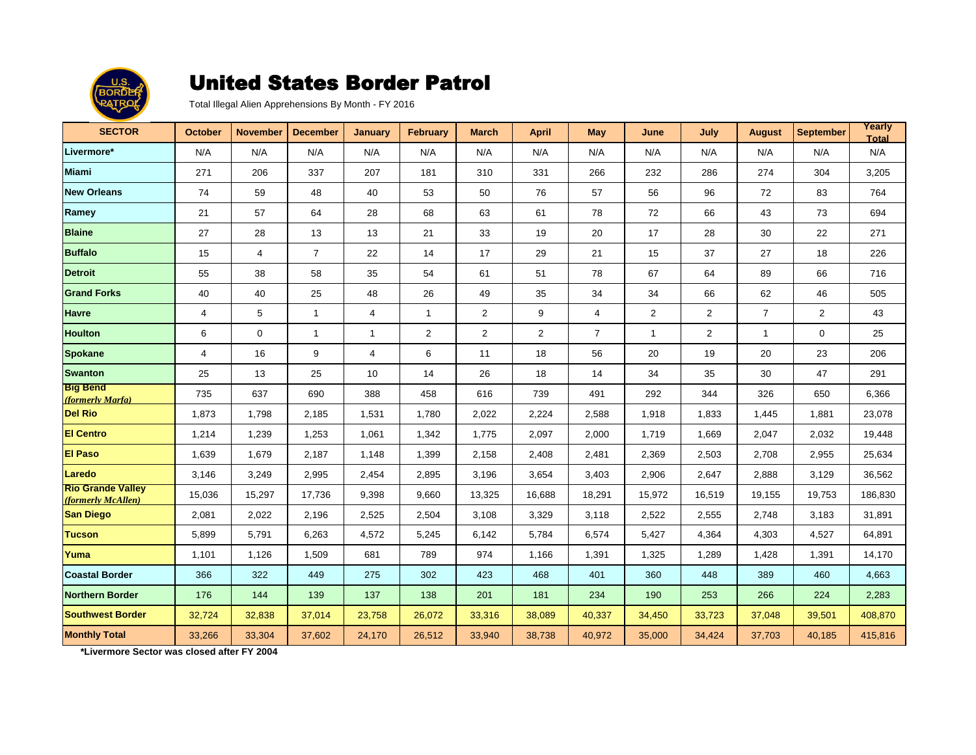

Total Illegal Alien Apprehensions By Month - FY 2016

| <b>SECTOR</b>                                  | <b>October</b> | <b>November</b> | <b>December</b> | <b>January</b> | <b>February</b> | <b>March</b> | <b>April</b> | <b>May</b>     | June           | July   | <b>August</b>  | <b>September</b> | Yearly<br><b>Total</b> |
|------------------------------------------------|----------------|-----------------|-----------------|----------------|-----------------|--------------|--------------|----------------|----------------|--------|----------------|------------------|------------------------|
| Livermore*                                     | N/A            | N/A             | N/A             | N/A            | N/A             | N/A          | N/A          | N/A            | N/A            | N/A    | N/A            | N/A              | N/A                    |
| <b>Miami</b>                                   | 271            | 206             | 337             | 207            | 181             | 310          | 331          | 266            | 232            | 286    | 274            | 304              | 3,205                  |
| <b>New Orleans</b>                             | 74             | 59              | 48              | 40             | 53              | 50           | 76           | 57             | 56             | 96     | 72             | 83               | 764                    |
| Ramey                                          | 21             | 57              | 64              | 28             | 68              | 63           | 61           | 78             | 72             | 66     | 43             | 73               | 694                    |
| <b>Blaine</b>                                  | 27             | 28              | 13              | 13             | 21              | 33           | 19           | 20             | 17             | 28     | 30             | 22               | 271                    |
| <b>Buffalo</b>                                 | 15             | $\overline{4}$  | $\overline{7}$  | 22             | 14              | 17           | 29           | 21             | 15             | 37     | 27             | 18               | 226                    |
| <b>Detroit</b>                                 | 55             | 38              | 58              | 35             | 54              | 61           | 51           | 78             | 67             | 64     | 89             | 66               | 716                    |
| <b>Grand Forks</b>                             | 40             | 40              | 25              | 48             | 26              | 49           | 35           | 34             | 34             | 66     | 62             | 46               | 505                    |
| <b>Havre</b>                                   | 4              | 5               | $\overline{1}$  | 4              | $\mathbf{1}$    | 2            | 9            | 4              | $\overline{2}$ | 2      | $\overline{7}$ | 2                | 43                     |
| <b>Houlton</b>                                 | 6              | $\mathbf 0$     | $\mathbf{1}$    | $\mathbf{1}$   | $\overline{2}$  | 2            | 2            | $\overline{7}$ | $\mathbf{1}$   | 2      | $\mathbf{1}$   | 0                | 25                     |
| <b>Spokane</b>                                 | 4              | 16              | 9               | $\overline{4}$ | 6               | 11           | 18           | 56             | 20             | 19     | 20             | 23               | 206                    |
| <b>Swanton</b>                                 | 25             | 13              | 25              | 10             | 14              | 26           | 18           | 14             | 34             | 35     | 30             | 47               | 291                    |
| <b>Big Bend</b><br>(formerly Marfa)            | 735            | 637             | 690             | 388            | 458             | 616          | 739          | 491            | 292            | 344    | 326            | 650              | 6,366                  |
| <b>Del Rio</b>                                 | 1,873          | 1,798           | 2,185           | 1,531          | 1,780           | 2,022        | 2,224        | 2,588          | 1,918          | 1,833  | 1,445          | 1,881            | 23,078                 |
| <b>El Centro</b>                               | 1,214          | 1,239           | 1,253           | 1,061          | 1,342           | 1,775        | 2,097        | 2,000          | 1,719          | 1,669  | 2,047          | 2,032            | 19,448                 |
| <b>El Paso</b>                                 | 1,639          | 1,679           | 2,187           | 1,148          | 1,399           | 2,158        | 2,408        | 2,481          | 2,369          | 2,503  | 2,708          | 2,955            | 25,634                 |
| Laredo                                         | 3,146          | 3,249           | 2,995           | 2,454          | 2,895           | 3,196        | 3,654        | 3,403          | 2,906          | 2,647  | 2,888          | 3,129            | 36,562                 |
| <b>Rio Grande Valley</b><br>(formerly McAllen) | 15,036         | 15,297          | 17,736          | 9,398          | 9,660           | 13,325       | 16,688       | 18,291         | 15,972         | 16,519 | 19,155         | 19,753           | 186,830                |
| <b>San Diego</b>                               | 2,081          | 2,022           | 2,196           | 2,525          | 2,504           | 3,108        | 3,329        | 3,118          | 2,522          | 2,555  | 2,748          | 3,183            | 31,891                 |
| <b>Tucson</b>                                  | 5,899          | 5,791           | 6,263           | 4,572          | 5,245           | 6,142        | 5,784        | 6,574          | 5,427          | 4,364  | 4,303          | 4,527            | 64,891                 |
| Yuma                                           | 1,101          | 1,126           | 1,509           | 681            | 789             | 974          | 1,166        | 1,391          | 1,325          | 1,289  | 1,428          | 1,391            | 14,170                 |
| <b>Coastal Border</b>                          | 366            | 322             | 449             | 275            | 302             | 423          | 468          | 401            | 360            | 448    | 389            | 460              | 4,663                  |
| <b>Northern Border</b>                         | 176            | 144             | 139             | 137            | 138             | 201          | 181          | 234            | 190            | 253    | 266            | 224              | 2,283                  |
| <b>Southwest Border</b>                        | 32,724         | 32,838          | 37,014          | 23,758         | 26,072          | 33,316       | 38,089       | 40,337         | 34,450         | 33,723 | 37,048         | 39,501           | 408,870                |
| <b>Monthly Total</b>                           | 33,266         | 33,304          | 37,602          | 24,170         | 26,512          | 33,940       | 38,738       | 40,972         | 35,000         | 34,424 | 37,703         | 40,185           | 415,816                |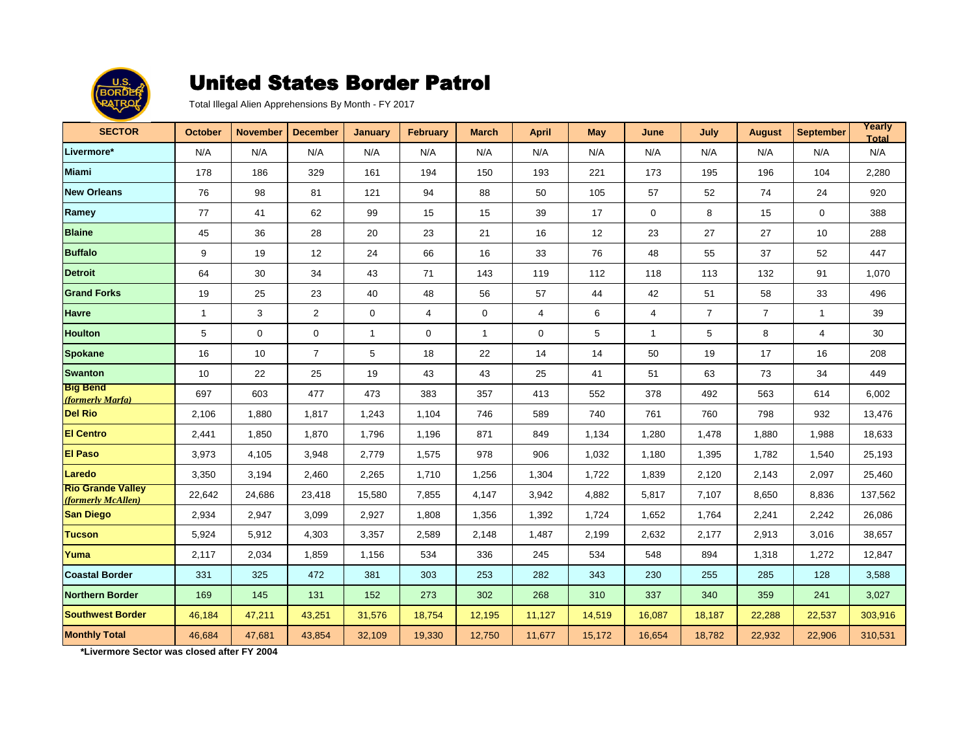

Total Illegal Alien Apprehensions By Month - FY 2017

| <b>SECTOR</b>                                  | October      | <b>November</b> | <b>December</b> | <b>January</b> | <b>February</b> | <b>March</b> | <b>April</b>            | <b>May</b> | June         | July           | <b>August</b>  | <b>September</b> | Yearly<br><b>Total</b> |
|------------------------------------------------|--------------|-----------------|-----------------|----------------|-----------------|--------------|-------------------------|------------|--------------|----------------|----------------|------------------|------------------------|
| Livermore*                                     | N/A          | N/A             | N/A             | N/A            | N/A             | N/A          | N/A                     | N/A        | N/A          | N/A            | N/A            | N/A              | N/A                    |
| <b>Miami</b>                                   | 178          | 186             | 329             | 161            | 194             | 150          | 193                     | 221        | 173          | 195            | 196            | 104              | 2,280                  |
| <b>New Orleans</b>                             | 76           | 98              | 81              | 121            | 94              | 88           | 50                      | 105        | 57           | 52             | 74             | 24               | 920                    |
| Ramey                                          | 77           | 41              | 62              | 99             | 15              | 15           | 39                      | 17         | $\mathbf 0$  | 8              | 15             | $\mathbf{0}$     | 388                    |
| <b>Blaine</b>                                  | 45           | 36              | 28              | 20             | 23              | 21           | 16                      | 12         | 23           | 27             | 27             | 10               | 288                    |
| <b>Buffalo</b>                                 | 9            | 19              | 12              | 24             | 66              | 16           | 33                      | 76         | 48           | 55             | 37             | 52               | 447                    |
| <b>Detroit</b>                                 | 64           | 30              | 34              | 43             | 71              | 143          | 119                     | 112        | 118          | 113            | 132            | 91               | 1,070                  |
| <b>Grand Forks</b>                             | 19           | 25              | 23              | 40             | 48              | 56           | 57                      | 44         | 42           | 51             | 58             | 33               | 496                    |
| <b>Havre</b>                                   | $\mathbf{1}$ | 3               | 2               | $\mathbf 0$    | $\overline{4}$  | $\mathbf 0$  | $\overline{\mathbf{4}}$ | 6          | 4            | $\overline{7}$ | $\overline{7}$ | $\mathbf{1}$     | 39                     |
| <b>Houlton</b>                                 | 5            | $\mathbf 0$     | $\mathbf 0$     | $\mathbf{1}$   | 0               | $\mathbf{1}$ | 0                       | 5          | $\mathbf{1}$ | 5              | 8              | $\overline{4}$   | 30                     |
| <b>Spokane</b>                                 | 16           | 10              | $\overline{7}$  | 5              | 18              | 22           | 14                      | 14         | 50           | 19             | 17             | 16               | 208                    |
| <b>Swanton</b>                                 | 10           | 22              | 25              | 19             | 43              | 43           | 25                      | 41         | 51           | 63             | 73             | 34               | 449                    |
| <b>Big Bend</b><br>(formerly Marfa)            | 697          | 603             | 477             | 473            | 383             | 357          | 413                     | 552        | 378          | 492            | 563            | 614              | 6,002                  |
| <b>Del Rio</b>                                 | 2,106        | 1,880           | 1,817           | 1,243          | 1,104           | 746          | 589                     | 740        | 761          | 760            | 798            | 932              | 13,476                 |
| <b>El Centro</b>                               | 2,441        | 1,850           | 1,870           | 1,796          | 1,196           | 871          | 849                     | 1,134      | 1,280        | 1,478          | 1,880          | 1,988            | 18,633                 |
| <b>El Paso</b>                                 | 3,973        | 4,105           | 3,948           | 2,779          | 1,575           | 978          | 906                     | 1,032      | 1,180        | 1,395          | 1,782          | 1,540            | 25,193                 |
| Laredo                                         | 3,350        | 3,194           | 2,460           | 2,265          | 1,710           | 1,256        | 1,304                   | 1,722      | 1,839        | 2,120          | 2,143          | 2,097            | 25,460                 |
| <b>Rio Grande Valley</b><br>(formerly McAllen) | 22,642       | 24,686          | 23,418          | 15,580         | 7,855           | 4,147        | 3,942                   | 4,882      | 5,817        | 7,107          | 8,650          | 8,836            | 137,562                |
| <b>San Diego</b>                               | 2,934        | 2,947           | 3,099           | 2,927          | 1,808           | 1,356        | 1,392                   | 1,724      | 1,652        | 1,764          | 2,241          | 2,242            | 26,086                 |
| <b>Tucson</b>                                  | 5,924        | 5,912           | 4,303           | 3,357          | 2,589           | 2,148        | 1,487                   | 2,199      | 2,632        | 2,177          | 2,913          | 3,016            | 38,657                 |
| Yuma                                           | 2,117        | 2,034           | 1,859           | 1,156          | 534             | 336          | 245                     | 534        | 548          | 894            | 1,318          | 1,272            | 12,847                 |
| <b>Coastal Border</b>                          | 331          | 325             | 472             | 381            | 303             | 253          | 282                     | 343        | 230          | 255            | 285            | 128              | 3,588                  |
| <b>Northern Border</b>                         | 169          | 145             | 131             | 152            | 273             | 302          | 268                     | 310        | 337          | 340            | 359            | 241              | 3,027                  |
| <b>Southwest Border</b>                        | 46,184       | 47,211          | 43,251          | 31,576         | 18,754          | 12,195       | 11,127                  | 14,519     | 16,087       | 18,187         | 22,288         | 22,537           | 303,916                |
| <b>Monthly Total</b>                           | 46,684       | 47,681          | 43,854          | 32,109         | 19,330          | 12,750       | 11,677                  | 15,172     | 16,654       | 18,782         | 22,932         | 22,906           | 310,531                |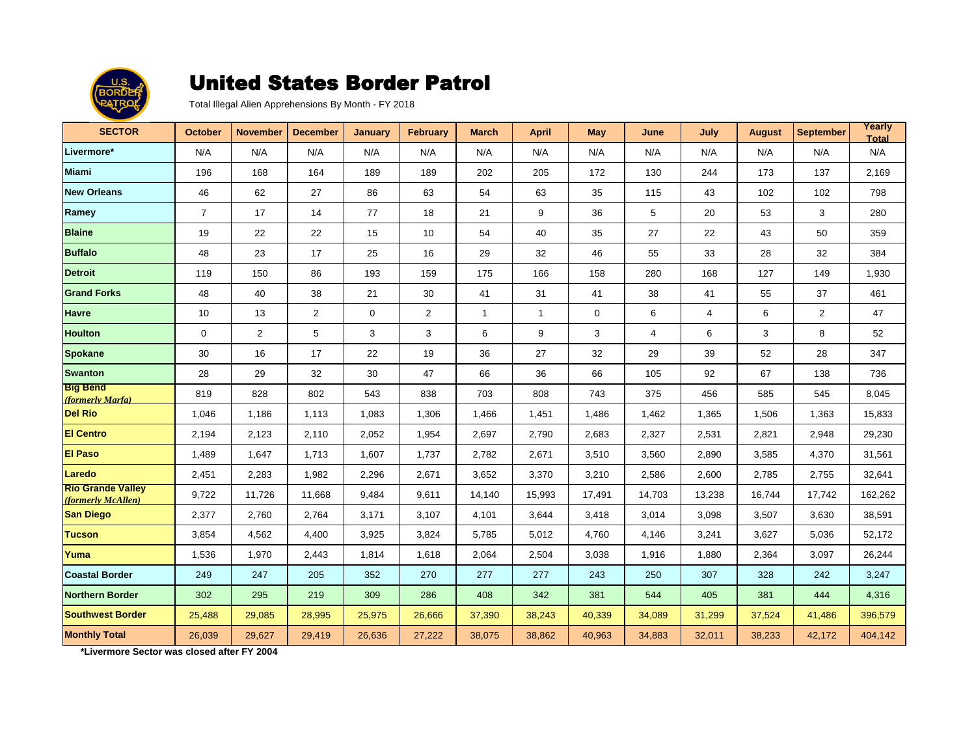

Total Illegal Alien Apprehensions By Month - FY 2018

| <b>SECTOR</b>                                  | October        | <b>November</b> | <b>December</b> | <b>January</b> | <b>February</b> | <b>March</b> | <b>April</b> | <b>May</b>  | June           | July           | <b>August</b> | <b>September</b> | Yearly<br><b>Total</b> |
|------------------------------------------------|----------------|-----------------|-----------------|----------------|-----------------|--------------|--------------|-------------|----------------|----------------|---------------|------------------|------------------------|
| Livermore*                                     | N/A            | N/A             | N/A             | N/A            | N/A             | N/A          | N/A          | N/A         | N/A            | N/A            | N/A           | N/A              | N/A                    |
| <b>Miami</b>                                   | 196            | 168             | 164             | 189            | 189             | 202          | 205          | 172         | 130            | 244            | 173           | 137              | 2,169                  |
| <b>New Orleans</b>                             | 46             | 62              | 27              | 86             | 63              | 54           | 63           | 35          | 115            | 43             | 102           | 102              | 798                    |
| Ramey                                          | $\overline{7}$ | 17              | 14              | 77             | 18              | 21           | 9            | 36          | 5              | 20             | 53            | 3                | 280                    |
| <b>Blaine</b>                                  | 19             | 22              | 22              | 15             | 10              | 54           | 40           | 35          | 27             | 22             | 43            | 50               | 359                    |
| <b>Buffalo</b>                                 | 48             | 23              | 17              | 25             | 16              | 29           | 32           | 46          | 55             | 33             | 28            | 32               | 384                    |
| <b>Detroit</b>                                 | 119            | 150             | 86              | 193            | 159             | 175          | 166          | 158         | 280            | 168            | 127           | 149              | 1,930                  |
| <b>Grand Forks</b>                             | 48             | 40              | 38              | 21             | 30              | 41           | 31           | 41          | 38             | 41             | 55            | 37               | 461                    |
| <b>Havre</b>                                   | 10             | 13              | 2               | $\mathbf 0$    | 2               | $\mathbf{1}$ | $\mathbf{1}$ | $\mathbf 0$ | 6              | $\overline{4}$ | 6             | 2                | 47                     |
| <b>Houlton</b>                                 | $\mathbf 0$    | $\overline{2}$  | 5               | 3              | 3               | 6            | 9            | 3           | $\overline{4}$ | 6              | 3             | 8                | 52                     |
| <b>Spokane</b>                                 | 30             | 16              | 17              | 22             | 19              | 36           | 27           | 32          | 29             | 39             | 52            | 28               | 347                    |
| <b>Swanton</b>                                 | 28             | 29              | 32              | 30             | 47              | 66           | 36           | 66          | 105            | 92             | 67            | 138              | 736                    |
| <b>Big Bend</b><br>(formerly Marfa)            | 819            | 828             | 802             | 543            | 838             | 703          | 808          | 743         | 375            | 456            | 585           | 545              | 8,045                  |
| <b>Del Rio</b>                                 | 1,046          | 1,186           | 1,113           | 1,083          | 1,306           | 1,466        | 1,451        | 1,486       | 1,462          | 1,365          | 1,506         | 1,363            | 15,833                 |
| <b>El Centro</b>                               | 2,194          | 2,123           | 2,110           | 2,052          | 1,954           | 2,697        | 2,790        | 2,683       | 2,327          | 2,531          | 2,821         | 2,948            | 29,230                 |
| <b>El Paso</b>                                 | 1,489          | 1,647           | 1,713           | 1,607          | 1,737           | 2,782        | 2,671        | 3,510       | 3,560          | 2,890          | 3,585         | 4,370            | 31,561                 |
| Laredo                                         | 2,451          | 2,283           | 1,982           | 2,296          | 2,671           | 3,652        | 3,370        | 3,210       | 2,586          | 2,600          | 2,785         | 2,755            | 32,641                 |
| <b>Rio Grande Valley</b><br>(formerly McAllen) | 9,722          | 11,726          | 11,668          | 9,484          | 9,611           | 14,140       | 15,993       | 17,491      | 14,703         | 13,238         | 16,744        | 17,742           | 162,262                |
| <b>San Diego</b>                               | 2,377          | 2,760           | 2,764           | 3,171          | 3,107           | 4,101        | 3,644        | 3,418       | 3,014          | 3,098          | 3,507         | 3,630            | 38,591                 |
| <b>Tucson</b>                                  | 3,854          | 4,562           | 4,400           | 3,925          | 3,824           | 5,785        | 5,012        | 4,760       | 4.146          | 3,241          | 3,627         | 5,036            | 52,172                 |
| Yuma                                           | 1,536          | 1,970           | 2,443           | 1,814          | 1,618           | 2,064        | 2,504        | 3,038       | 1,916          | 1,880          | 2,364         | 3,097            | 26,244                 |
| <b>Coastal Border</b>                          | 249            | 247             | 205             | 352            | 270             | 277          | 277          | 243         | 250            | 307            | 328           | 242              | 3,247                  |
| <b>Northern Border</b>                         | 302            | 295             | 219             | 309            | 286             | 408          | 342          | 381         | 544            | 405            | 381           | 444              | 4,316                  |
| <b>Southwest Border</b>                        | 25,488         | 29,085          | 28,995          | 25,975         | 26,666          | 37,390       | 38,243       | 40,339      | 34,089         | 31,299         | 37,524        | 41,486           | 396,579                |
| <b>Monthly Total</b>                           | 26,039         | 29,627          | 29,419          | 26,636         | 27,222          | 38,075       | 38,862       | 40,963      | 34,883         | 32,011         | 38,233        | 42,172           | 404,142                |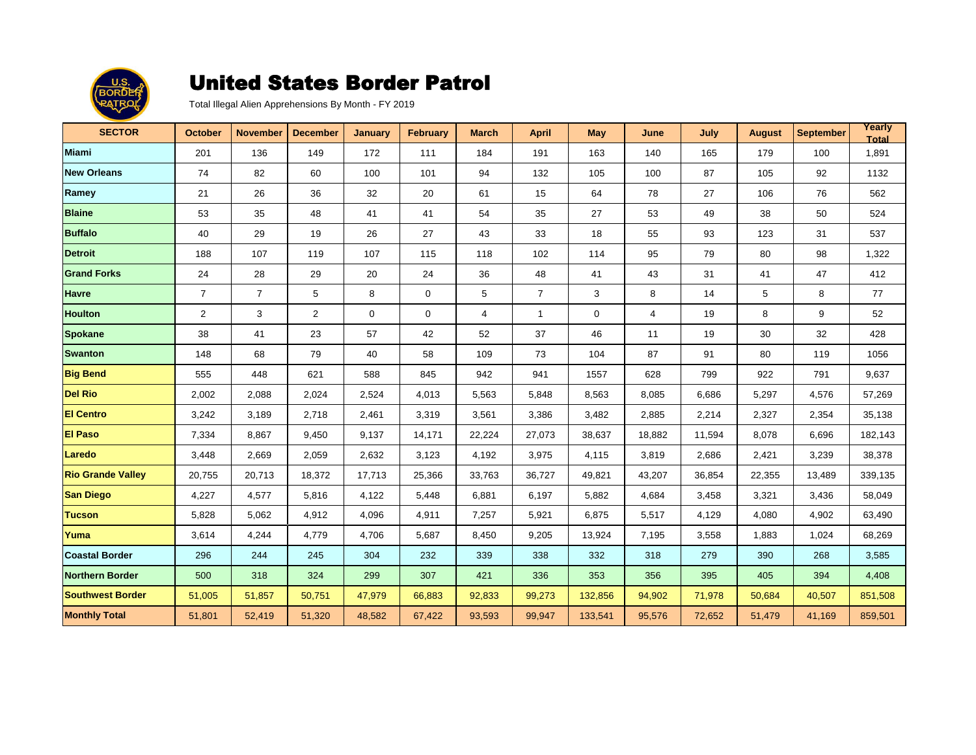

| <b>SECTOR</b>            | October        | <b>November</b> | <b>December</b> | January      | <b>February</b> | <b>March</b>   | <b>April</b>   | <b>May</b>  | June   | July   | <b>August</b> | <b>September</b> | Yearly<br><b>Total</b> |
|--------------------------|----------------|-----------------|-----------------|--------------|-----------------|----------------|----------------|-------------|--------|--------|---------------|------------------|------------------------|
| <b>Miami</b>             | 201            | 136             | 149             | 172          | 111             | 184            | 191            | 163         | 140    | 165    | 179           | 100              | 1,891                  |
| <b>New Orleans</b>       | 74             | 82              | 60              | 100          | 101             | 94             | 132            | 105         | 100    | 87     | 105           | 92               | 1132                   |
| Ramey                    | 21             | 26              | 36              | 32           | 20              | 61             | 15             | 64          | 78     | 27     | 106           | 76               | 562                    |
| <b>Blaine</b>            | 53             | 35              | 48              | 41           | 41              | 54             | 35             | 27          | 53     | 49     | 38            | 50               | 524                    |
| <b>Buffalo</b>           | 40             | 29              | 19              | 26           | 27              | 43             | 33             | 18          | 55     | 93     | 123           | 31               | 537                    |
| <b>Detroit</b>           | 188            | 107             | 119             | 107          | 115             | 118            | 102            | 114         | 95     | 79     | 80            | 98               | 1,322                  |
| <b>Grand Forks</b>       | 24             | 28              | 29              | 20           | 24              | 36             | 48             | 41          | 43     | 31     | 41            | 47               | 412                    |
| <b>Havre</b>             | $\overline{7}$ | $\overline{7}$  | 5               | 8            | 0               | 5              | $\overline{7}$ | 3           | 8      | 14     | 5             | 8                | 77                     |
| <b>Houlton</b>           | 2              | 3               | $\overline{2}$  | $\mathbf{0}$ | $\mathbf 0$     | $\overline{4}$ | $\mathbf{1}$   | $\mathbf 0$ | 4      | 19     | 8             | 9                | 52                     |
| <b>Spokane</b>           | 38             | 41              | 23              | 57           | 42              | 52             | 37             | 46          | 11     | 19     | 30            | 32               | 428                    |
| <b>Swanton</b>           | 148            | 68              | 79              | 40           | 58              | 109            | 73             | 104         | 87     | 91     | 80            | 119              | 1056                   |
| <b>Big Bend</b>          | 555            | 448             | 621             | 588          | 845             | 942            | 941            | 1557        | 628    | 799    | 922           | 791              | 9,637                  |
| <b>Del Rio</b>           | 2,002          | 2,088           | 2,024           | 2,524        | 4,013           | 5,563          | 5,848          | 8,563       | 8,085  | 6,686  | 5,297         | 4,576            | 57,269                 |
| <b>El Centro</b>         | 3,242          | 3,189           | 2,718           | 2,461        | 3,319           | 3,561          | 3,386          | 3,482       | 2,885  | 2,214  | 2,327         | 2,354            | 35,138                 |
| <b>El Paso</b>           | 7,334          | 8,867           | 9,450           | 9,137        | 14,171          | 22,224         | 27,073         | 38,637      | 18,882 | 11,594 | 8,078         | 6,696            | 182,143                |
| Laredo                   | 3,448          | 2,669           | 2,059           | 2,632        | 3,123           | 4,192          | 3,975          | 4,115       | 3,819  | 2,686  | 2,421         | 3,239            | 38,378                 |
| <b>Rio Grande Valley</b> | 20,755         | 20,713          | 18,372          | 17,713       | 25,366          | 33,763         | 36,727         | 49,821      | 43,207 | 36,854 | 22,355        | 13,489           | 339,135                |
| <b>San Diego</b>         | 4,227          | 4,577           | 5,816           | 4,122        | 5,448           | 6,881          | 6,197          | 5,882       | 4,684  | 3,458  | 3,321         | 3,436            | 58,049                 |
| <b>Tucson</b>            | 5,828          | 5,062           | 4,912           | 4,096        | 4,911           | 7,257          | 5,921          | 6,875       | 5,517  | 4,129  | 4,080         | 4,902            | 63,490                 |
| Yuma                     | 3,614          | 4,244           | 4,779           | 4,706        | 5,687           | 8,450          | 9,205          | 13,924      | 7,195  | 3,558  | 1,883         | 1,024            | 68,269                 |
| <b>Coastal Border</b>    | 296            | 244             | 245             | 304          | 232             | 339            | 338            | 332         | 318    | 279    | 390           | 268              | 3,585                  |
| <b>Northern Border</b>   | 500            | 318             | 324             | 299          | 307             | 421            | 336            | 353         | 356    | 395    | 405           | 394              | 4,408                  |
| <b>Southwest Border</b>  | 51,005         | 51,857          | 50,751          | 47,979       | 66,883          | 92,833         | 99,273         | 132,856     | 94,902 | 71,978 | 50,684        | 40,507           | 851,508                |
| <b>Monthly Total</b>     | 51,801         | 52,419          | 51,320          | 48,582       | 67,422          | 93,593         | 99,947         | 133,541     | 95,576 | 72,652 | 51,479        | 41,169           | 859,501                |